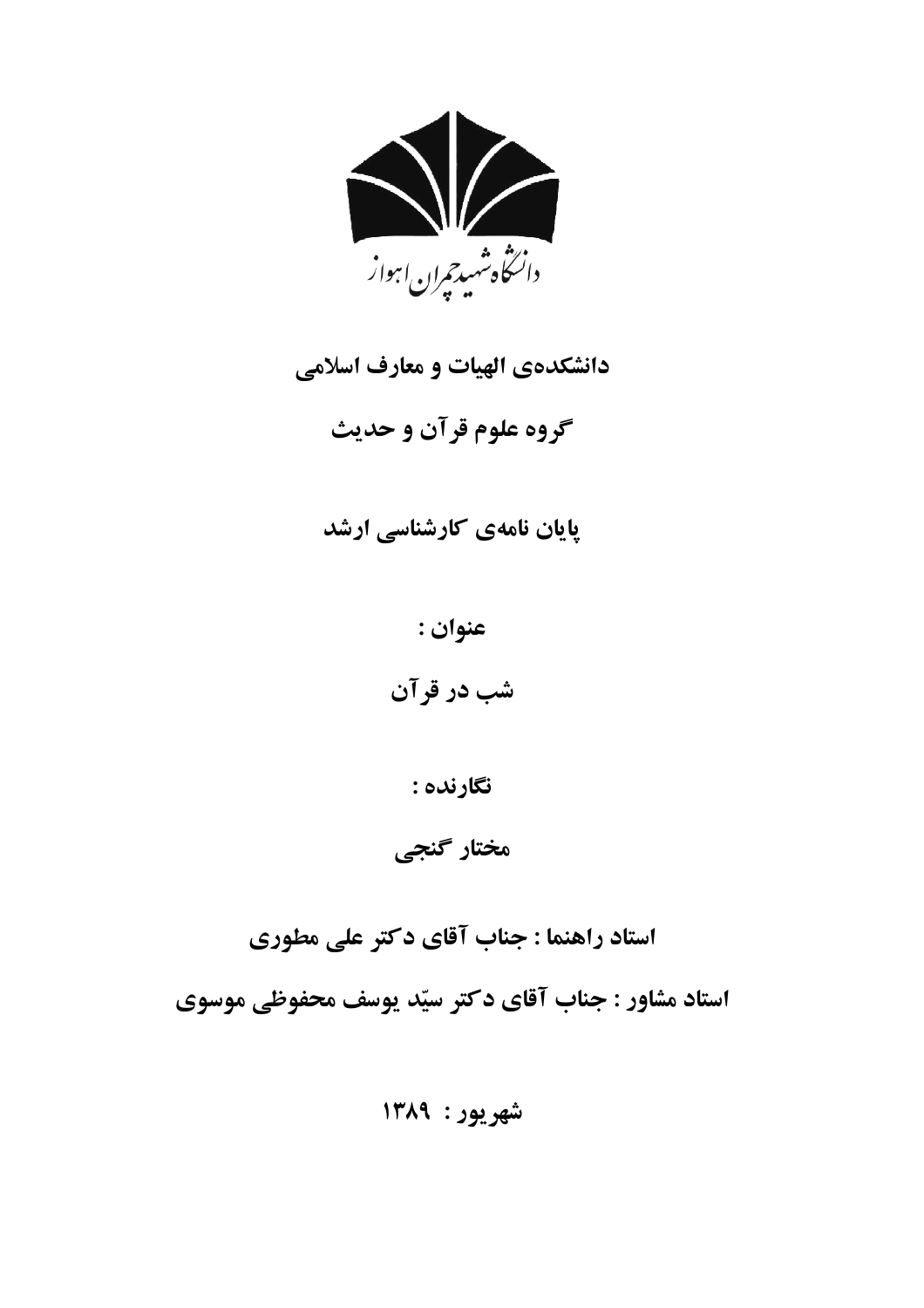

# دانشکدهی الهیات و معارف اسلامی

گروه علوم قرآن و حديث

## پایان نامهی کارشناسی ارشد

عنوان :

شب در قرآن

نگارنده :

مختار گنجی

استاد راهنما : جناب آقای دکتر علی مطوری استاد مشاور : جناب آقاي دكتر سيّد يوسف محفوظي موسوي

شهريور: ١٣٨٩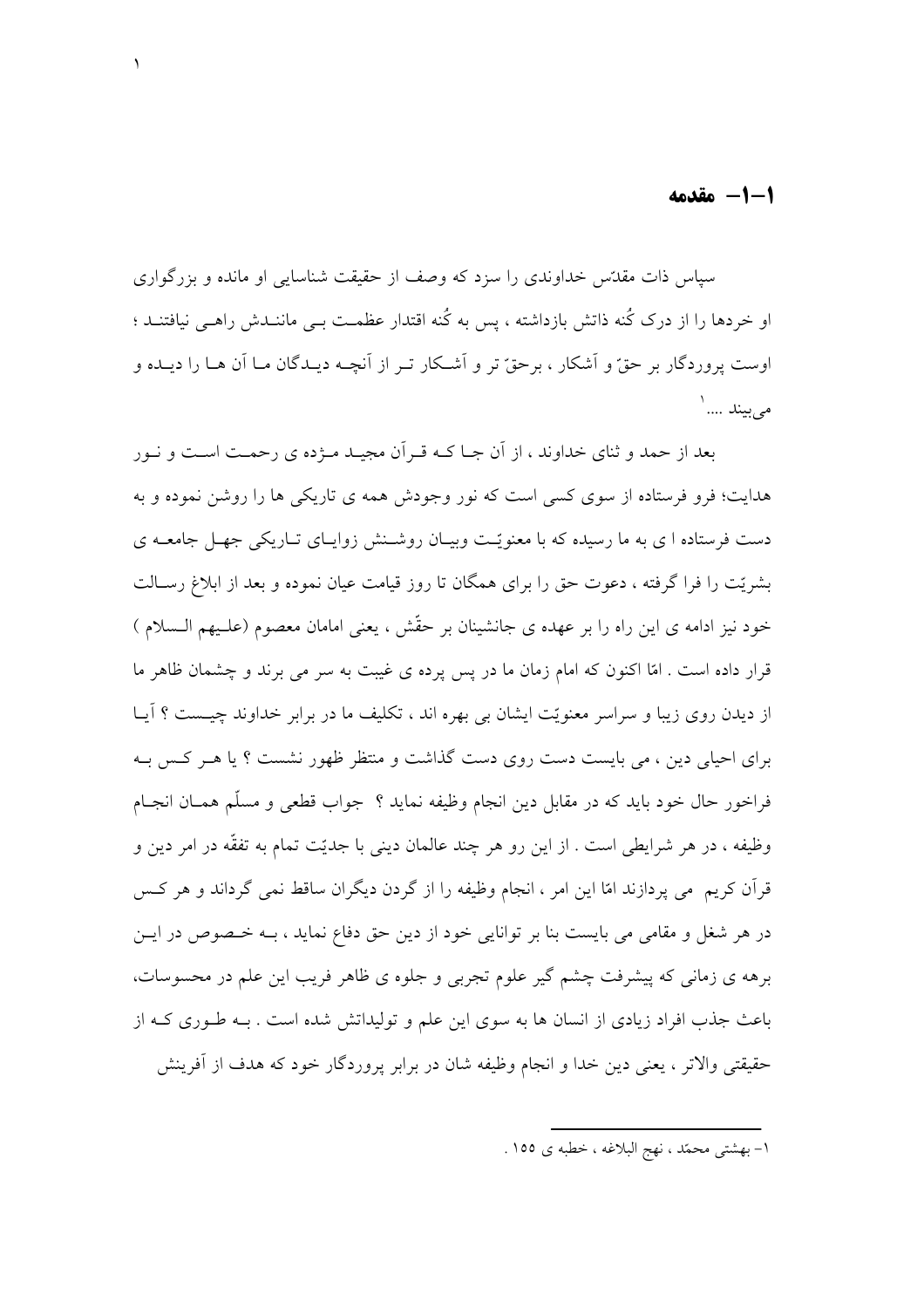1-1- مقدمه

سیاس ذات مقدّس خداوندی را سزد که وصف از حقیقت شناسایی او مانده و بزرگواری او خردها را از درک کُنه ذاتش بازداشته ، پس به کُنه اقتدار عظمـت بـی ماننـدش راهـی نیافتنـد ؛ اوست پروردگار پر حقّ و آشکار ، پرحقّ تر و آشـکار تـر از آنچــه دیــدگان مـا آن هــا را دیــده و مىبيند ....'

بعد از حمد و ثنای خداوند ، از آن جبا کـه قبر آن مجبـد مــژده ی رحمـت اسـت و نــور هدایت؛ فرو فرستاده از سوی کسی است که نور وجودش همه ی تاریکی ها را روشن نموده و به دست فرستاده ا ی به ما رسیده که با معنو بّت ویسان روشینش زواسای تیاریکی جهیل جامعیه ی بشریّت را فرا گرفته ، دعوت حق را برای همگان تا روز قیامت عیان نموده و بعد از ابلاغ رسـالت خود نیز ادامه ی این راه را بر عهده ی جانشینان بر حقّش ، یعنی امامان معصوم (علـیهم الـسلام ) قرار داده است . امّا اكنون كه امام زمان ما در پس پرده ي غيبت به سر مي برند و چشمان ظاهر ما از دیدن روی زیبا و سراسر معنویّت ایشان بی بهره اند ، تکلیف ما در برابر خداوند چیــست ؟ أیــا برای احیا<sub>ی</sub> دین ، می بایست دست روی دست گذاشت و منتظر ظهور نشست ؟ یا هـر کـس بـه فراخور حال خود بايد كه در مقابل دين انجام وظيفه نمايد ؟ جواب قطعي و مسلّم همـان انجـام وظيفه ، در هر شرايطي است . از اين رو هر چند عالمان ديني با جديّت تمام به تفقّه در امر دين و قرأن كريم مي يردازند امّا اين امر ، انجام وظيفه را از گردن ديگران ساقط نمي گرداند و هر كس در هر شغل و مقامی می بایست بنا بر توانایی خود از دین حق دفاع نماید ، بـه خـصوص در ایــن برهه ی زمانی که پیشرفت چشم گیر علوم تجربی و جلوه ی ظاهر فریب این علم در محسوسات، باعث جذب افراد زیادی از انسان ها به سوی این علم و تولیداتش شده است . بــه طــوری کــه از حقيقتي والاتر ، يعني دين خدا و انجام وظيفه شان در برابر پروردگار خود كه هدف از أفرينش

١– بهشتي محمّد ، نهج البلاغه ، خطبه ي ١٥٥ .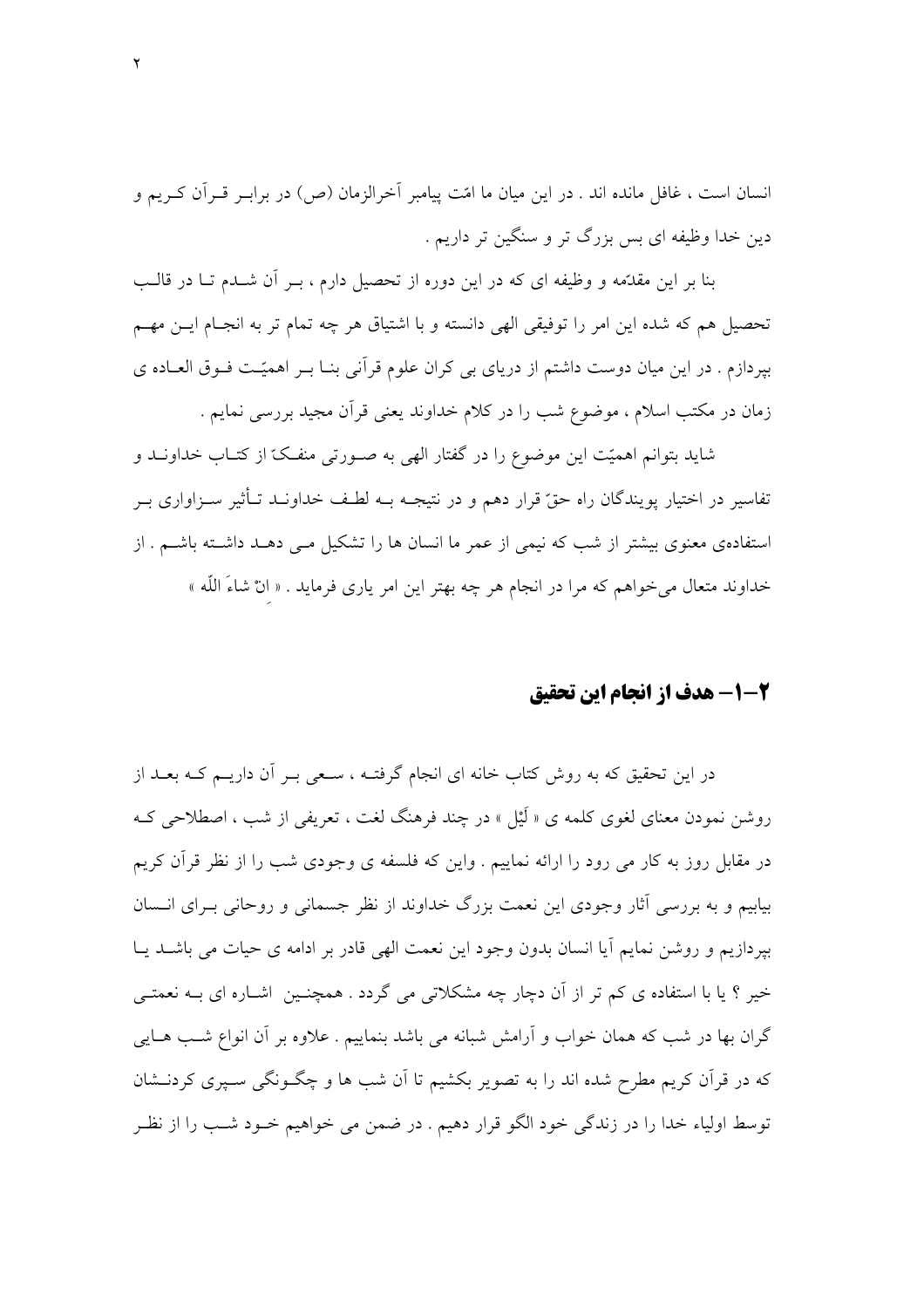انسان است ، غافل مانده اند . در این میان ما امّت پیامبر آخرالزمان (ص) در برابـر قـرآن کـریم و دین خدا وظیفه ای بس بزرگ تر و سنگین تر داریم .

بنا بر این مقدَّمه و وظیفه ای که در این دوره از تحصیل دارم ، بـر آن شــدم تــا در قالــب تحصیل هم که شده این امر را توفیقی الهی دانسته و با اشتیاق هر چه تمام تر به انجـام ایـن مهـم بیردازم . در این میان دوست داشتم از دریای بی کران علوم قرآنی بنــا بــر اهمیّــت فــوق العــاده ی زمان در مکتب اسلام ، موضوع شب را در کلام خداوند یعنی قرآن مجید بررسی نمایم .

شاید بتوانم اهمیّت این موضوع را در گفتار الهی به صـورتی منفـکّ از کتـاب خداونــد و تفاسیر در اختیار یویندگان راه حقّ قرار دهم و در نتیجــه بــه لطـف خداونــد تــأثیر ســزاواری بــر استفادهی معنوی بیشتر از شب که نیمی از عمر ما انسان ها را تشکیل مـی دهـد داشــته باشــم . از خداوند متعال مي خواهم كه مرا در انجام هر چه بهتر اين امر ياري فرمايد . « انْ شاءَ اللَّه »

### 2-1- هدف از انجام این تحقیق

در این تحقیق که به روش کتاب خانه ای انجام گرفتـه ، سـعی بـر آن داریــم کــه بعــد از روشن نمودن معنای لغوی کلمه ی « لَیْل » در چند فرهنگ لغت ، تعریفی از شب ، اصطلاحی کـه در مقابل روز به کار می رود را ارائه نماییم . واین که فلسفه ی وجودی شب را از نظر قرآن کریم بیابیم و به بررسی آثار وجودی این نعمت بزرگ خداوند از نظر جسمانی و روحانی بـرای انـسان بيردازيم و روشن نمايم آيا انسان بدون وجود اين نعمت الهي قادر بر ادامه ي حيات مي باشــد يــا خیر ؟ یا با استفاده ی کم تر از آن دچار چه مشکلاتی می گردد . همچنـین اشـاره ای بــه نعمتــی گران بها در شب که همان خواب و آرامش شبانه می باشد بنماییم . علاوه بر آن انواع شب هـایی که در قرآن کریم مطرح شده اند را به تصویر بکشیم تا آن شب ها و چگــونگی ســیری کردنــشان توسط اولياء خدا را در زندگي خود الگو قرار دهيم . در ضمن مي خواهيم خـود شـب را از نظـر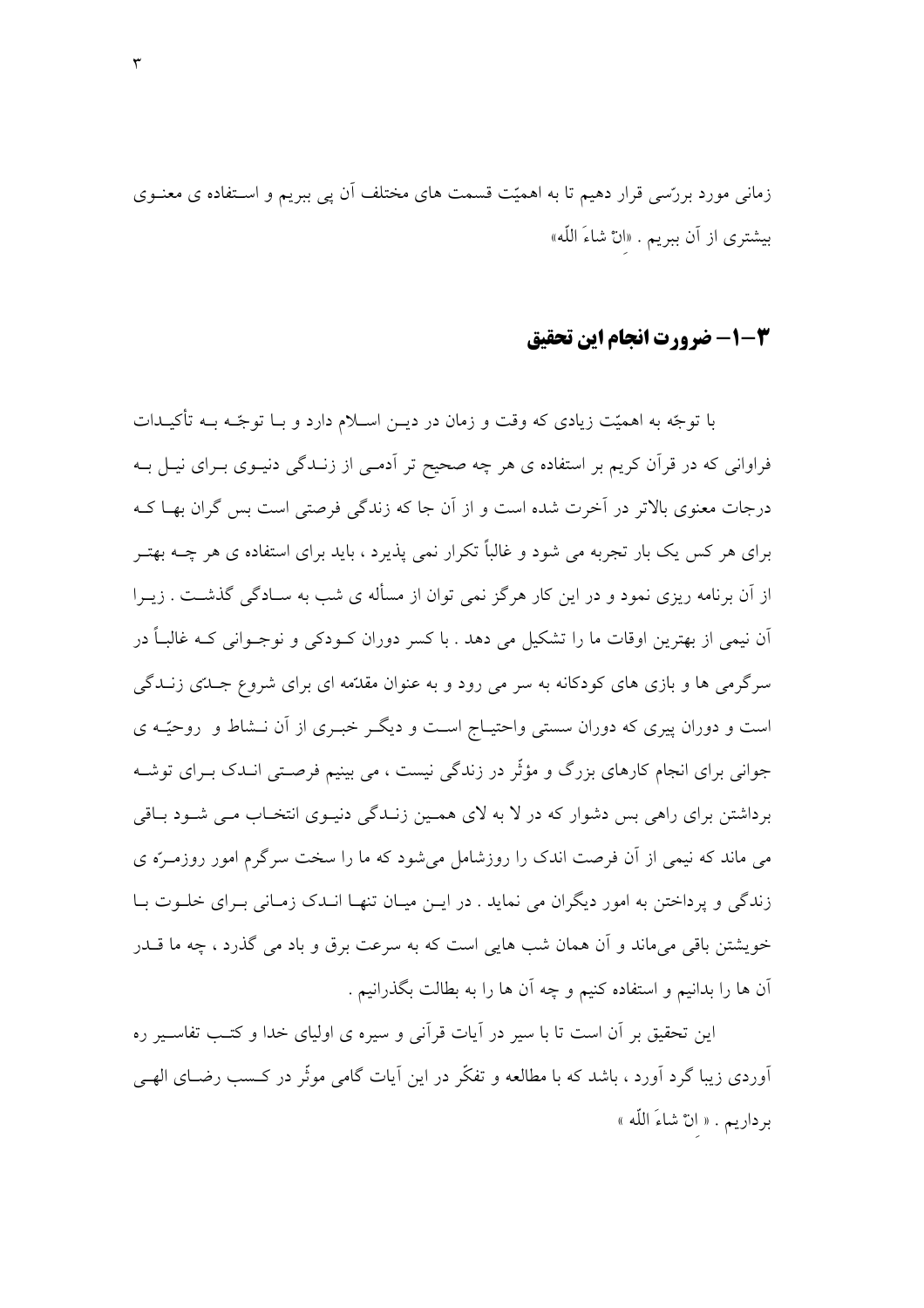زمانی مورد بررسی قرار دهیم تا به اهمیّت قسمت های مختلف آن پی ببریم و اسـتفاده ی معنــوی بيشتري از أن ببريم . «انْ شاءَ اللّه»

#### 4-1- ضرورت انحام اين تحقيق

با توجّه به اهمیّت زیادی که وقت و زمان در دیــن اســلام دارد و بــا توجّــه بــه تأکیــدات فراوانی که در قرآن کریم بر استفاده ی هر چه صحیح تر آدمـی از زنــدگی دنیــوی بــرای نیــل بــه درجات معنوی بالاتر در آخرت شده است و از آن جا که زندگی فرصتی است بس گران بهـا کــه برای هر کس یک بار تجربه می شود و غالباً تکرار نمی پذیرد ، باید برای استفاده ی هر چــه بهتـر از آن برنامه ریزی نمود و در این کار هرگز نمی توان از مسأله ی شب به سـادگی گذشــت . زیــرا آن نیمی از بھترین اوقات ما را تشکیل می دھد . با کسر دوران کـودکی و نوجـوانی کـه غالبـاً در سرگرمی ها و بازی های کودکانه به سر می رود و به عنوان مقدّمه ای برای شروع جــدّی زنــدگی است و دوران پیری که دوران سستی واحتیـاج اسـت و دیگـر خبـری از آن نــشاط و روحیّـه ی جوانی برای انجام کارهای بزرگ و مؤثّر در زندگی نیست ، می بینیم فرصـتی انــدک بــرای توشــه برداشتن برای راهی بس دشوار که در لا به لای همـین زنـدگی دنیـوی انتخـاب مـی شـود بـاقی می ماند که نیمی از آن فرصت اندک را روزشامل می شود که ما را سخت سرگرم امور روزمــرّه ی زندگی و پرداختن به امور دیگران می نماید . در ایـن میـان تنهـا انــدک زمـانی بـرای خلــوت بـا خویشتن باقی می،ماند و اَن همان شب هایی است که به سرعت برق و باد می گذرد ، چه ما قــدر أن ها را بدانيم و استفاده كنيم و چه أن ها را به بطالت بگذرانيم .

این تحقیق بر آن است تا با سیر در آیات قرآنی و سیره ی اولیای خدا و کتـب تفاســیر ره آوردی زیبا گرد آورد ، باشد که با مطالعه و تفکّر در این آیات گامی موثّر در کـسب رضـای الهـی برداريم . « انْ شاءَ اللَّه »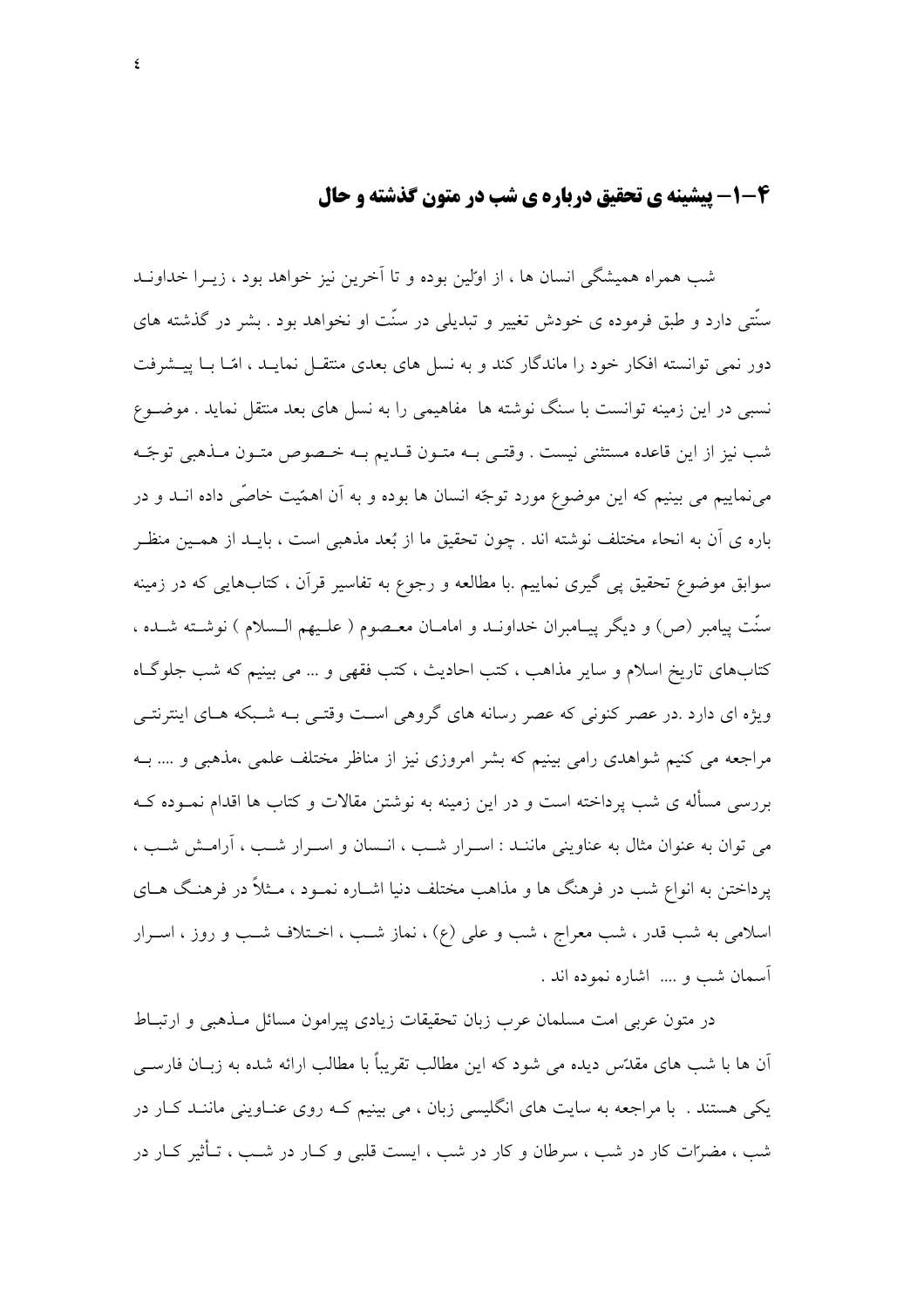### 4-1- پیشینه ی تحقیق دریاره ی شب در متون گذشته و حال

شب همراه همیشگی انسان ها ، از اولین بوده و تا آخرین نیز خواهد بود ، زیــرا خداونــد سنّتی دارد و طبق فرموده ی خودش تغییر و تبدیلی در سنّت او نخواهد بود . بشر در گذشته های دور نمبی توانسته افکار خود را ماندگار کند و به نسل های بعدی منتقبل نمایید ، امّیا یا پیشرفت نسبی در این زمینه توانست با سنگ نوشته ها ً مفاهیمی را به نسل های بعد منتقل نماید . موضـوع شب نيز از اين قاعده مستثنى نيست . وقتـي بــه متــون قــديـم بــه خــصوص متــون مــذهبي توجّــه می نماییم می بینیم که این موضوع مورد توجّه انسان ها بوده و به آن اهمّیت خاصّی داده انــد و در باره ي آن به انحاء مختلف نوشته اند . چون تحقيق ما از بُعد مذهبي است ، بايـد از همـين منظـر سوابق موضوع تحقیق پی گیری نماییم .با مطالعه و رجوع به تفاسیر قرآن ، کتابهایی که در زمینه سنّت پیامبر (ص) و دیگر پیـامبران خداونــد و امامــان معـصوم ( علــیهم الــسلام ) نوشــته شــده ، كتابِهاي تاريخ اسلام و ساير مذاهب ، كتب احاديث ، كتب فقهي و … مي بينيم كه شب جلوگـاه ویژه ای دارد .در عصر کنونی که عصر رسانه های گروهی است وقتـی بـه شـبکه هـای اینترنتـی مراجعه می کنیم شواهدی رامی بینیم که بشر امروزی نیز از مناظر مختلف علمی ،مذهبی و …. بــه بررسی مسأله ی شب پرداخته است و در این زمینه به نوشتن مقالات و کتاب ها اقدام نمــوده کــه می توان به عنوان مثال به عناوینی ماننـد : اسـرار شـب ، انـسان و اسـرار شـب ، آرامـش شـب ، پرداختن به انواع شب در فرهنگ ها و مذاهب مختلف دنیا اشــاره نمــود ، مــثلاً در فرهنـگ هــای اسلامی به شب قدر ، شب معراج ، شب و علی (ع) ، نماز شب ، اخـتلاف شـب و روز ، اسـرار آسمان شب و .... اشاره نموده اند .

در متون عربی امت مسلمان عرب زبان تحقیقات زیادی پیرامون مسائل مـذهبی و ارتبـاط آن ها با شب های مقدّتس دیده می شود که این مطالب تقریباً با مطالب ارائه شده به زبـان فارسـی یکی هستند . با مراجعه به سایت های انگلیسی زبان ، می بینیم کـه روی عنـاوینی ماننـد کـار در شب ، مضرّات کار در شب ، سرطان و کار در شب ، ایست قلبی و کـار در شـب ، تــأثیر کــار در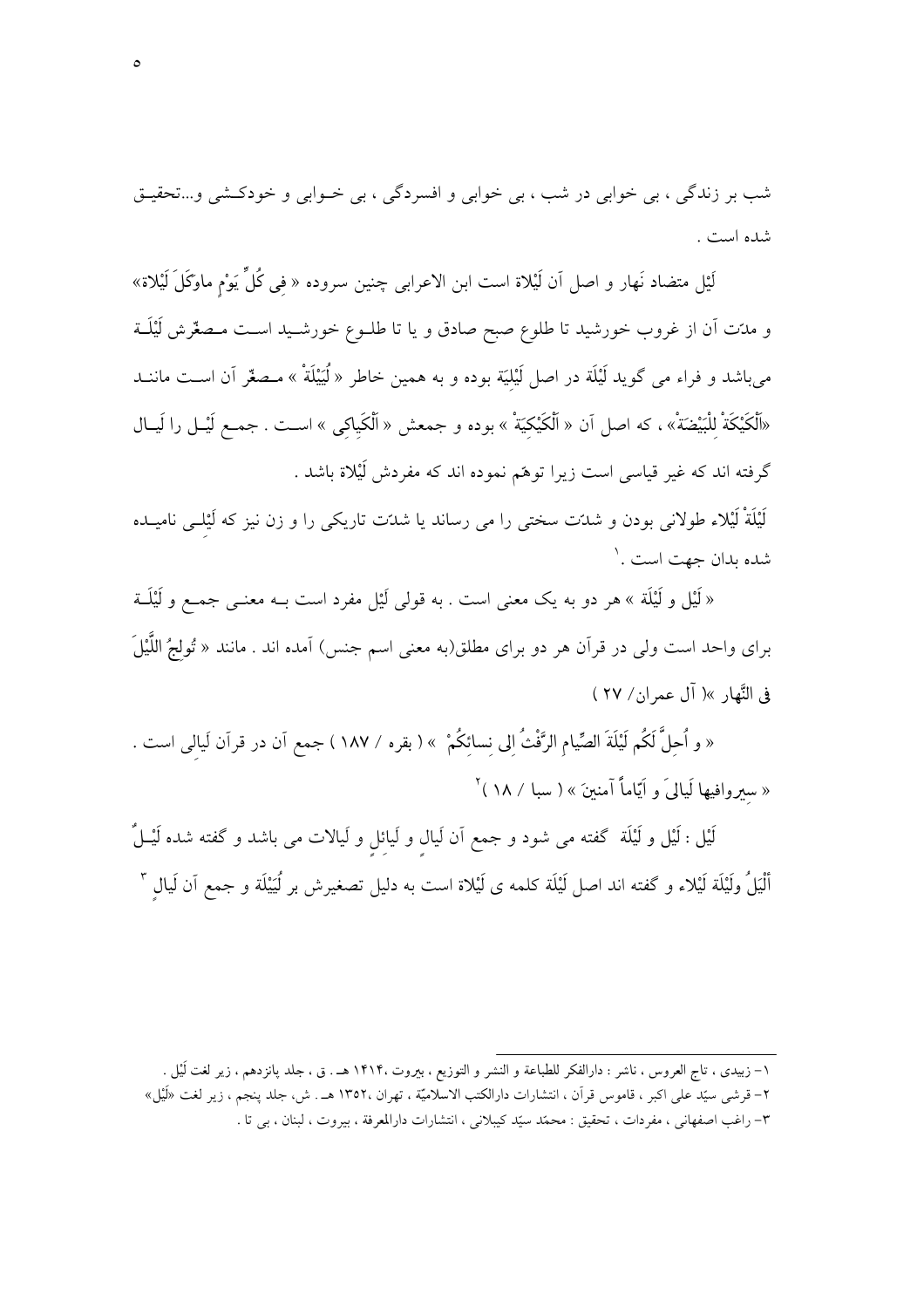شب بر زندگی ، بی خوابی در شب ، بی خوابی و افسردگی ، بی خــوابی و خودکــشی و...تحقیــق شده است .

لَيْل متضاد نَهار و اصل اَن لَيْلاة است ابن الاعرابي چنين سروده « في كُلِّ يَوْم ماوكَلَ لَيْلاة» و مدّت أن از غروب خورشيد تا طلوع صبح صادق و يا تا طلــوع خورشــيد اســت مــصغّرش لَيْلَــة میباشد و فراء می گوید لَیْلَة در اصل لَیْلیَة بوده و به همین خاطر « لَیَیْلَةْ » مـصغّر آن اســت ماننــد «اَلْكَيْكَةْ لِلْبَيْضَةْ» ، كه اصل آن « اَلْكَيْكِيَةْ » بوده و جمعش « اَلْكَياكى » اسـت . جمـع لَيْــل را لَيــال گرفته اند که غیر قیاسی است زیرا توهّم نموده اند که مفردش لَیْلاة باشد .

لَیْلَةْ لَیْلاء طولانی بودن و شدّت سختی را می رساند یا شدّت تاریکی را و زن نیز که لَیْلـی نامیــده شده بدان جهت است .`

« لَيْل و لَيْلَة » هر دو به يک معنى است . به قولى لَيْل مفرد است بــه معنــي جمــع و لَيْلَــة براي واحد است ولي در قرأن هر دو براي مطلق(به معنى اسم جنس) أمده اند . مانند « تُولجُ اللَّيْلَ في النَّهار »( آل عمران/ ٢٧ )

« و اُحلَّ لَكُم لَيْلَةَ الصِّيام الرَّفْثُ الى نسائكُمْ » ( بقره / ١٨٧ ) جمع اّن در قرآن لَيالي است . « سیروافیها لَیالیَ و اَیّاماً آمنینَ » ( سبا / ۱۸ )<sup>۲</sup>

لَيْل : لَيْل و لَيْلَة ۖ گفته مى شود و جمع اَن لَيال و لَيائل و لَيالات مى باشد و گفته شده لَيْــلٌ أَلْيَلُ ولَيْلَة لَيْلاء و گفته اند اصل لَيْلَة كلمه ى لَيْلاة است به دليل تصغيرش بر لُيَيْلَة و جمع اَن لَيال "

١– زبیدی ، تاج العروس ، ناشر : دارالفکر للطباعة و النشر و التوزیع ، بیروت ١۴١۴. هـ . ق ، جلد پانزدهم ، زیر لغت أيْل . ۲– قرشی سیّد علی اکبر ، قاموس قرآن ، انتشارات دارالکتب الاسلامیّة ، تهران ،۱۳۵۲ هـ . ش، جلد ینجم ، زیر لغت «لَیْل» ٣- راغب اصفهاني ، مفردات ، تحقيق : محمّد سيّد كيبلاني ، انتشارات دارالمعرفة ، بيروت ، لبنان ، بي تا .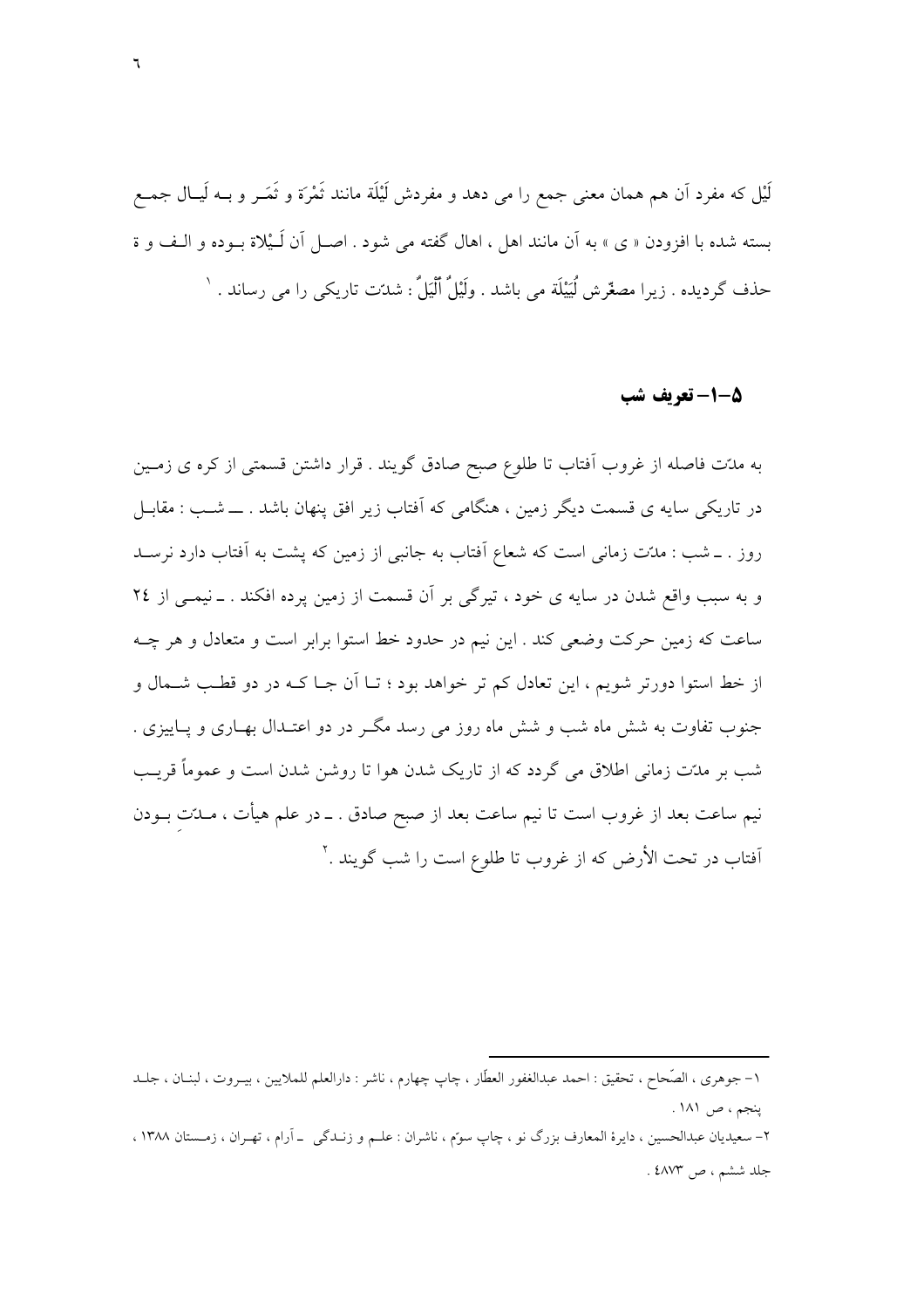لَيْل که مفرد اَن هم همان معنى جمع را مى دهد و مفردش لَيْلَة مانند تَمْرَة و تَمَــر و بــه لَيــال جمــع بسته شده با افزودن « ي » به آن مانند اهل ، اهال گفته مي شود . اصـل آن لَـيْلاة بـوده و الـف و ة حذف گردیده . زیرا مصغّرش لُیَیْلَة می باشد . ولَیْلٌ ٱلْیَلٌ : شدّت تاریکی را می رساند . `

#### 5-1-تعريف شب

به مدّت فاصله از غروب آفتاب تا طلوع صبح صادق گویند . قرار داشتن قسمتی از کره ی زمـین در تاریکی سایه ی قسمت دیگر زمین ، هنگامی که آفتاب زیر افق پنهان باشد . ــــ شــب : مقابــل روز . ـ شب : مدّت زمانی است که شعاع آفتاب به جانبی از زمین که پشت به آفتاب دارد نرسـد و به سبب واقع شدن در سایه ی خود ، تیرگی بر آن قسمت از زمین پرده افکند . ـ نیمـی از ٢٤ ساعت که زمین حرکت وضعی کند . این نیم در حدود خط استوا برابر است و متعادل و هر چـه از خط استوا دورتر شویم ، این تعادل کم تر خواهد بود ؛ تــا اَن جــا کــه در دو قطـب شــمال و جنوب تفاوت به شش ماه شب و شش ماه روز می رسد مگـر در دو اعتـدال بهـاری و پـاییزی . شب بر مدّت زمانی اطلاق می گردد که از تاریک شدن هوا تا روشن شدن است و عموماً قریـب نیم ساعت بعد از غروب است تا نیم ساعت بعد از صبح صادق . ــ در علم هیأت ، مــدّت بــودن اّفتاب در تحت الأرض كه از غروب تا طلوع است را شب گویند .<sup>۲</sup>

۲– سعیدیان عبدالحسین ، دایرهٔ المعارف بزرگ نو ، چاپ سوّم ، ناشران : علـم و زنــدگی \_ آرام ، تهـران ، زمـستان ۱۳۸۸ ، جلد ششم ، ص ٤٨٧٣ .

١– جوهري ، الصَّحاح ، تحقيق : احمد عبدالغفور العطَّار ، چاپ چهارم ، ناشر : دارالعلم للملايين ، بيــروت ، لبنــان ، جلــد پنجم ، ص ۱۸۱ .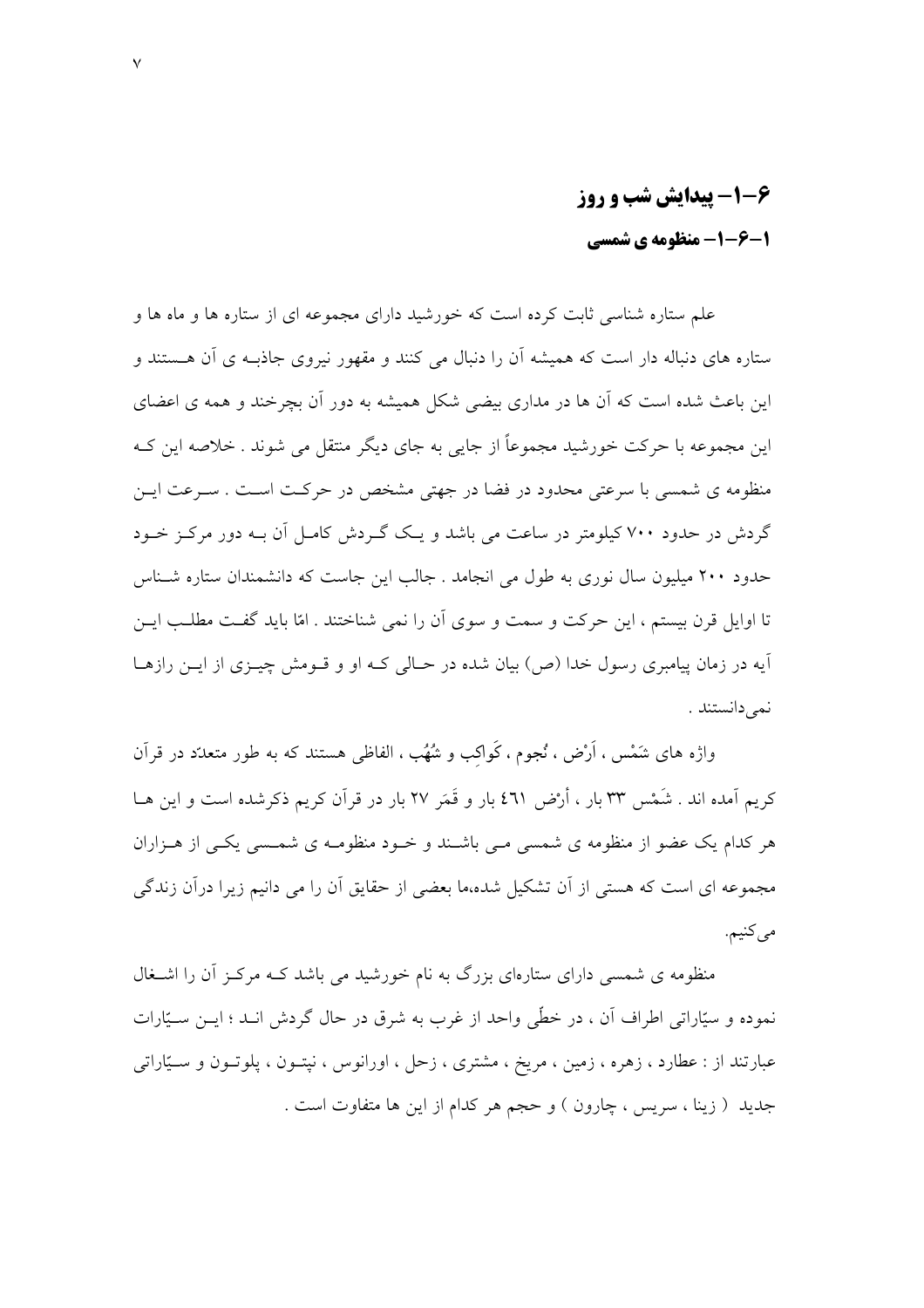## ۶-۱- پیدایش شب و روز 1-6-1- منظومه ی شمسی

علم ستاره شناسی ثابت کرده است که خورشید دارای مجموعه ای از ستاره ها و ماه ها و ستاره های دنباله دار است که همیشه آن را دنبال می کنند و مقهور نیروی جاذبـه ی آن هــستند و این باعث شده است که اَن ها در مداری بیضی شکل همیشه به دور اَن بچرخند و همه ی اعضای این مجموعه با حرکت خورشید مجموعاً از جایی به جای دیگر منتقل می شوند . خلاصه این کـه منظومه ی شمسی با سرعتی محدود در فضا در جهتی مشخص در حرکت است . سـرعت ایــن گردش در حدود ۷۰۰ کیلومتر در ساعت می باشد و یک گـردش کامـل آن بــه دور مرکـز خــود حدود ۲۰۰ میلیون سال نوری به طول می انجامد . جالب این جاست که دانشمندان ستاره شـناس تا اوایل قرن پستم ، این جرکت و سمت و سوی آن را نمی شناختند . امّا باید گفت مطلب این آيه در زمان پيامبري رسول خدا (ص) بيان شده در حـالي كـه او و قــومش چيــزي از ايــن رازهــا نمى دانستند .

واژه های شَمْس ، اَرْض ، نُجوم ، کَواکب و شُهُب ، الفاظی هستند که به طور متعدّد در قرآن کریم اَمده اند . شَمْس ٣٣ بار ، أَرْض ٤٦١ بار و قَمَر ٢٧ بار در قرآن کریم ذکرشده است و این هــا هر کدام یک عضو از منظومه ی شمسے مے پاشیند و خبود منظومیه ی شمسبے یکے از هیزاران مجموعه ای است که هستی از آن تشکیل شده،ما بعضی از حقایق آن را می دانیم زیرا درآن زندگی مي كنيم.

منظومه ی شمسی دارای ستارهای بزرگ به نام خورشید می باشد کـه مرکـز آن را اشــغال نموده و سیّاراتی اطراف اَن ، در خطّی واحد از غرب به شرق در حال گردش انــد ؛ ایــن ســیّارات عبارتند از : عطارد ، زهره ، زمین ، مریخ ، مشتری ، زحل ، اورانوس ، نیتـون ، پلوتـون و ســیّاراتی جدید ( زینا ، سریس ، چارون ) و حجم هر کدام از این ها متفاوت است .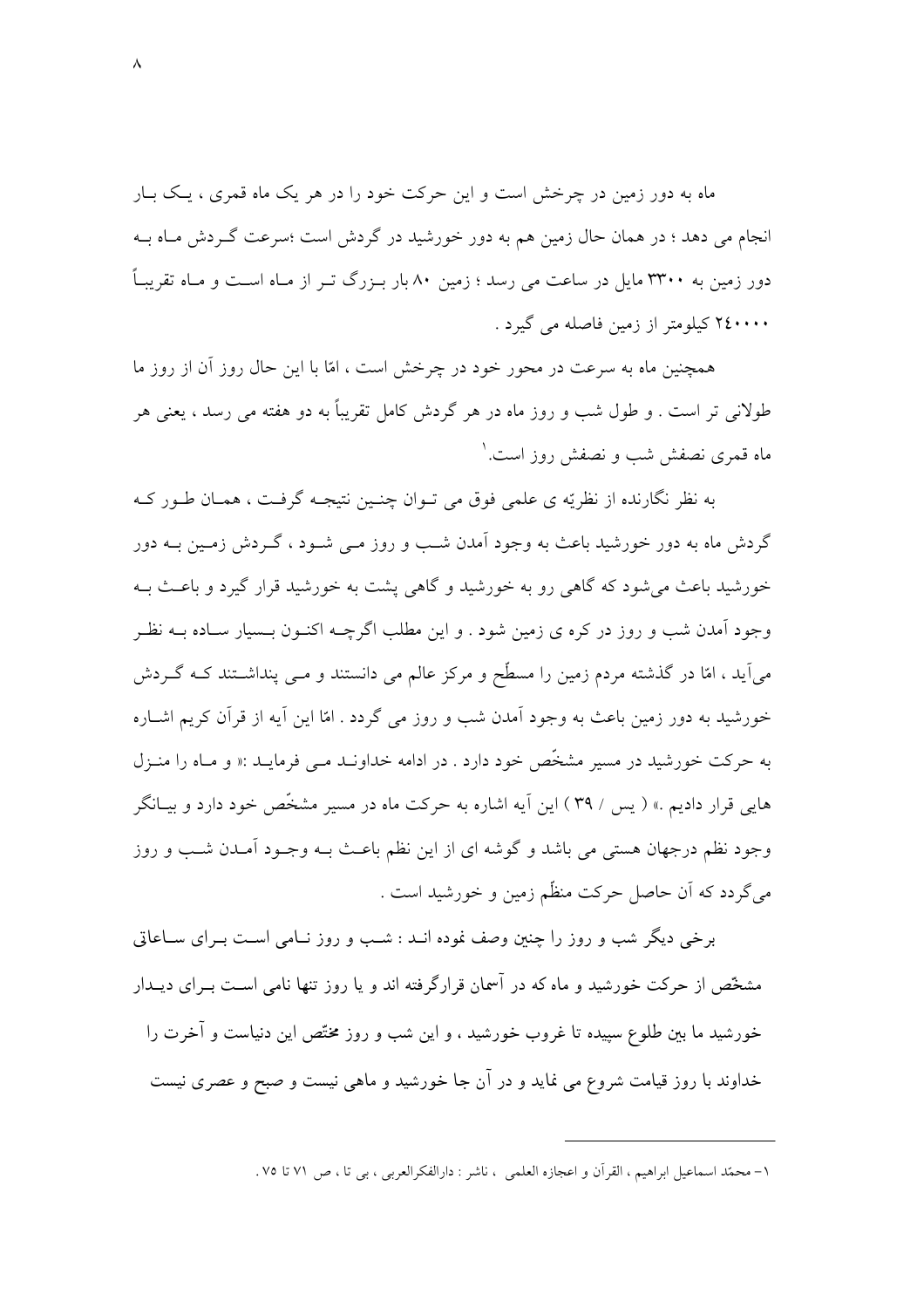ماه به دور زمین در چرخش است و این حرکت خود را در هر یک ماه قمری ، یـک بــار انجام می دهد ؛ در همان حال زمین هم به دور خورشید در گردش است ؛سرعت گـردش مـاه بــه دور زمین به ۳۳۰۰ مایل در ساعت می رسد ؛ زمین ۸۰ بار بـزرگ تـر از مـاه اسـت و مـاه تقریبـاً ۲٤۰۰۰۰ کیلومتر از زمین فاصله می گیرد .

همچنین ماه به سرعت در محور خود در چرخش است ، امّا با این حال روز آن از روز ما طولانی تر است . و طول شب و روز ماه در هر گردش کامل تقریباً به دو هفته می رسد ، یعنی هر ماه قمری نصفش شب و نصفش روز است. ۱

به نظر نگارنده از نظريّه ي علمي فوق مي تـوان چنـين نتيجـه گرفـت ، همـان طـور كـه گردش ماه به دور خورشید باعث به وجود آمدن شب و روز مـی شـود ، گـردش زمـین بــه دور خورشید باعث می شود که گاهی رو به خورشید و گاهی پشت به خورشید قرار گیرد و باعث بـه وجود آمدن شب و روز در کره ی زمین شود . و این مطلب اگرچــه اکنــون بــسیار ســاده بــه نظــر می آید ، امّا در گذشته مردم زمین را مسطّح و مرکز عالم می دانستند و مــی پنداشــتند کــه گــردش خورشید به دور زمین باعث به وجود آمدن شب و روز می گردد . امّا این آیه از قرآن کریم اشــاره به حرکت خورشید در مسیر مشخّص خود دارد . در ادامه خداونـد مـی فرمایـد :« و مـاه را منـزل هایی قرار دادیم .» ( پس / ۳۹ ) این آیه اشاره به حرکت ماه در مسیر مشخّص خود دارد و بیـانگر وجود نظم درجهان هستی می باشد و گوشه ای از این نظم باعث بـه وجـود آمـدن شــب و روز مي گردد كه آن حاصل حركت منظّم زمين و خورشيد است .

برخی دیگر شب و روز را چنین وصف نموده انــد : شــب و روز نــامی اسـت بــرای ســاعاتی مشخّص از حرکت خورشید و ماه که در آسمان قرارگرفته اند و یا روز تنها نامی اسـت بـرای دیــدار خورشید ما بین طلوع سپیده تا غروب خورشید ، و این شب و روز مختّص این دنیاست و آخرت را خداوند با روز قیامت شروع می نماید و در آن جا خورشید و ماهی نیست و صبح و عصری نیست

١– محمَّد اسماعيل ابراهيم ، القرآن و اعجازه العلمي ، ناشر : دارالفكرالعربي ، بي تا ، ص ٧١ تا ٧٥ .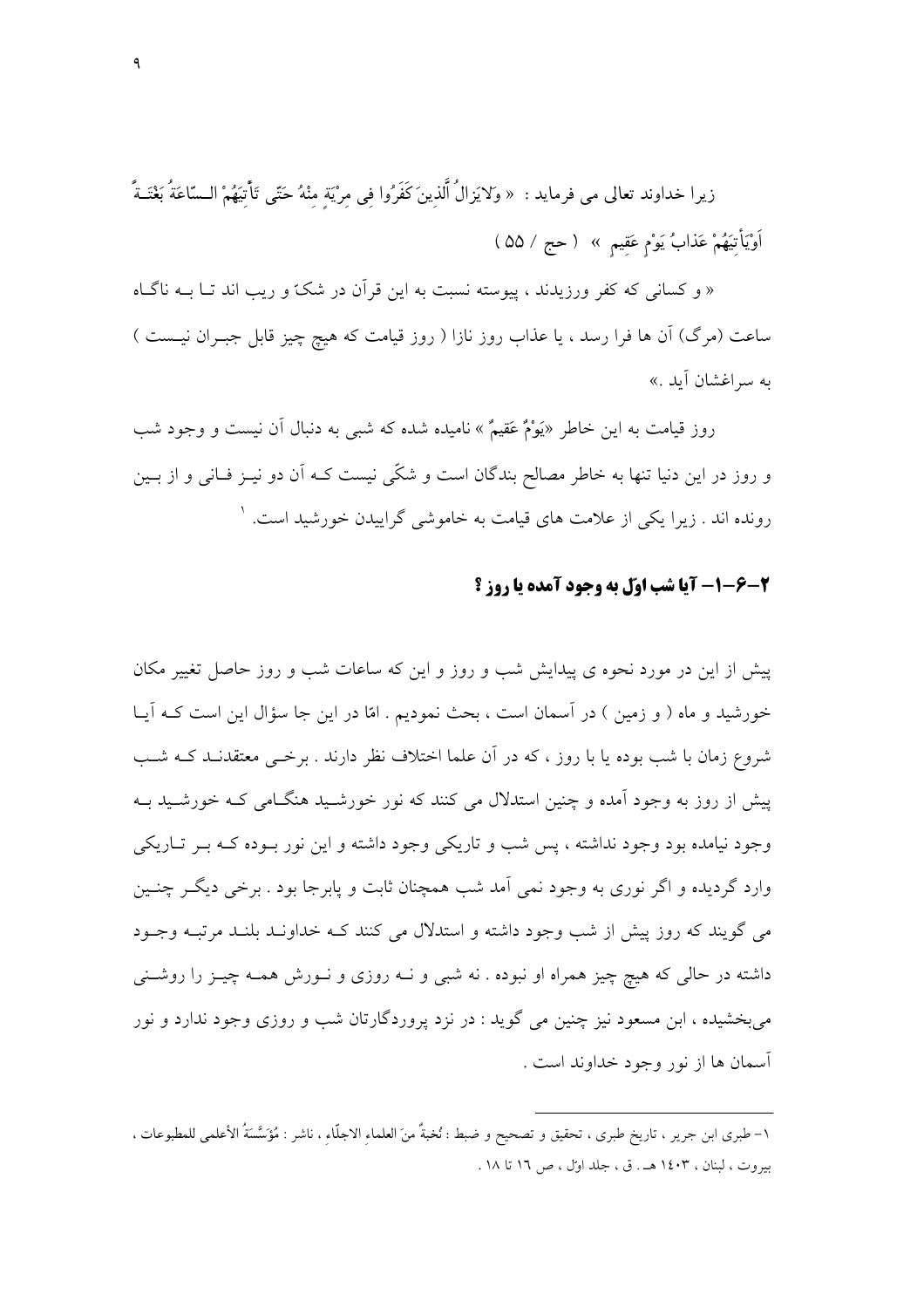زيرا خداوند تعالى مي فرمايد : « ولايَزالُ ٱلّذينَ كَفَرُوا في مرْيَة منْهُ حَتّى تَأْتِيَهُمْ الـسّاعَةُ بَعْتَـةً أَوْيَأْتِيَهُمْ عَذَابُ يَوْمٍ عَقِيمٍ » ( حج / ۵۵ )

« و کسانی که کفر ورزیدند ، پیوسته نسبت به این قرآن در شکّ و ریب اند تــا بــه ناگــاه ساعت (مرگ) آن ها فرا رسد ، یا عذاب روز نازا ( روز قیامت که هیچ چیز قابل جبـران نیــست ) به سراغشان أيد .»

روز قیامت به این خاطر «یَوْمٌ عَقیمٌ » نامیده شده که شب<sub>عی</sub> به دنبال آن نیست و وجود شب و روز در این دنیا تنها به خاطر مصالح بندگان است و شکّی نیست کـه آن دو نیــز فــانی و از بــین رونده اند . زیرا یکی از علامت های قیامت به خاموشی گراییدن خورشید است. <sup>۱</sup>

#### 2-6-1- آيا شب اوّل به وجود آمده يا روز ؟

پیش از این در مورد نحوه ی پیدایش شب و روز و این که ساعات شب و روز حاصل تغییر مکان خورشید و ماه ( و زمین ) در آسمان است ، بحث نمودیم . امّا در این جا سؤال این است کــه اَیــا شروع زمان با شب بوده یا با روز ، که در آن علما اختلاف نظر دارند . برخبی معتقدنید کیه شب پیش از روز به وجود آمده و چنین استدلال می کنند که نور خورشـید هنگـامی کـه خورشـید بــه وجود نیامده بود وجود نداشته ، پس شب و تاریکی وجود داشته و این نور بـوده کـه بـر تـاریکی وارد گردیده و اگر نوری به وجود نمی آمد شب همچنان ثابت و پابرجا بود . برخی دیگـر چنـین می گویند که روز پیش از شب وجود داشته و استدلال می کنند کـه خداونـد بلنـد مرتبـه وجـود داشته در حالی که هیچ چیز همراه او نبوده . نه شبی و نــه روزی و نــورش همــه چیــز را روشــنی مي بخشيده ، ابن مسعود نيز چنين مي گويد : در نزد پروردگارتان شب و روزي وجود ندارد و نور آسمان ها از نور وجود خداوند است .

١– طبري ابن جرير ، تاريخ طبري ، تحقيق و تصحيح و ضبط : نُخبةٌ منَ العلماء الاجلَّاء ، ناشر : مُؤَسَّسَةُ الأعلمي للمطبوعات ، سروت ، لبنان ، ۱٤۰۳ هـ . ق ، جلد اوّل ، ص ١٦ تا ١٨ .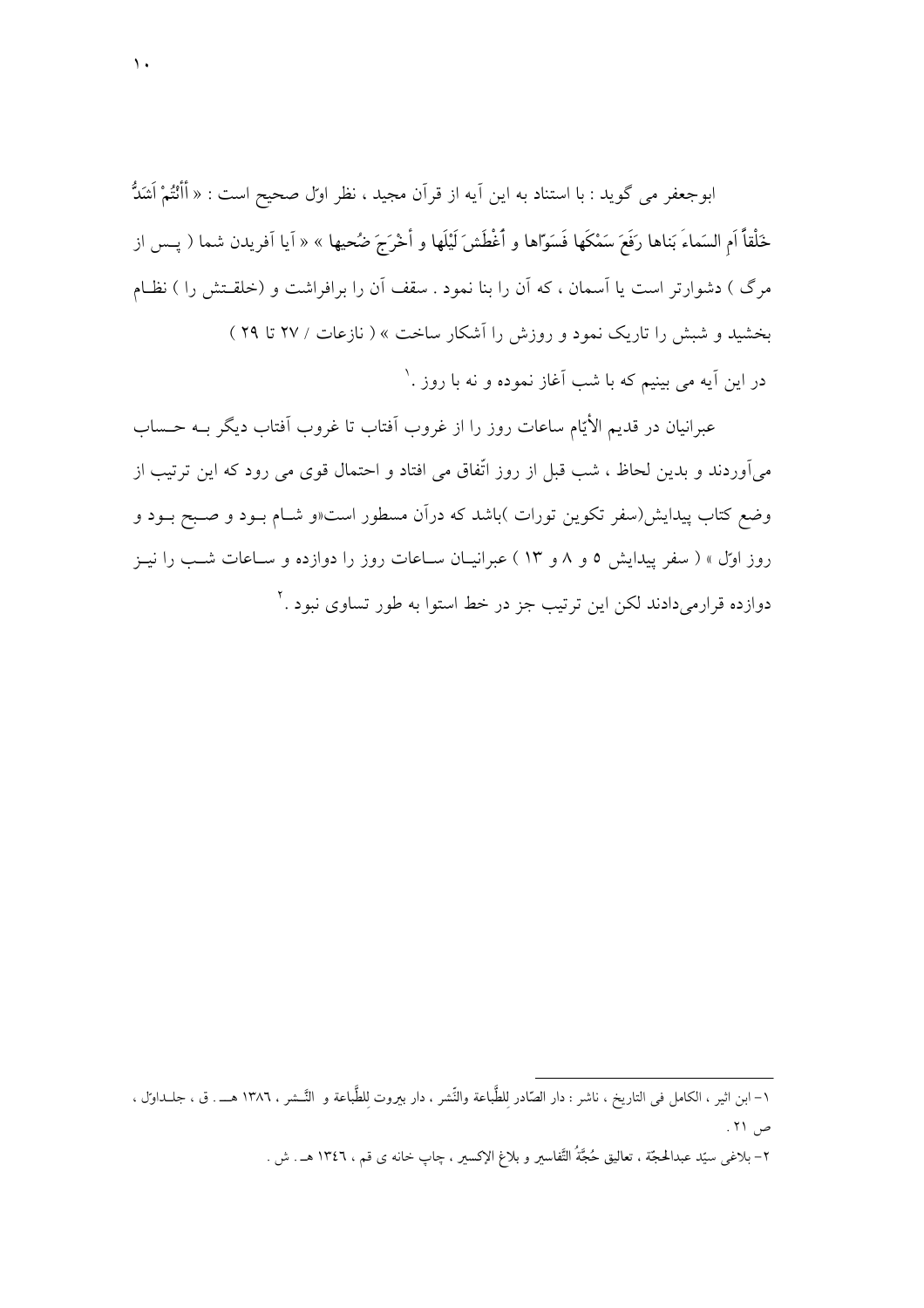ابوجعفر مي گويد : با استناد به اين اَيه از قراَن مجيد ، نظر اول صحيح است : « أَأَنْتُمْ أَشَدُّ خَلْقاً اَم السَماءَ بَناها رَفَعَ سَمْكَها فَسَوّاها و أَغْطَشَ لَيْلَها و أَخْرَجَ ضُحيها » « آيا آفريدن شما ( پــس از مرگ ) دشوارتر است یا اَسمان ، که اَن را بنا نمود . سقف اَن را برافراشت و (خلقـتش را ) نظـام بخشید و شبش را تاریک نمود و روزش را آشکار ساخت » ( نازعات / ۲۷ تا ۲۹ ) در این آیه می بینیم که با شب آغاز نموده و نه با روز .`

عبرانیان در قدیم الأیّام ساعات روز را از غروب اَفتاب تا غروب اَفتاب دیگر بــه حــساب می آوردند و بدین لحاظ ، شب قبل از روز اتّفاق می افتاد و احتمال قوی می رود که این ترتیب از وضع کتاب پیدایش(سفر تکوین تورات )باشد که درآن مسطور است«و شـام بـود و صـبح بـود و روز اول » ( سفر پیدایش ٥ و ٨ و ١٣ ) عبرانیــان ســاعات روز را دوازده و ســاعات شــب را نیــز دوازده قرارمیدادند لکن این ترتیب جز در خط استوا به طور تساوی نبود .<sup>۲</sup>

١– ابن اثير ، الكامل في التاريخ ، ناشر : دار الصَّادر للطَّباعة والنَّشر ، دار بيروت للطَّباعة و النَّـشر ، ١٣٨٦ هـــ . ق ، جلــداوَل ، ص ۲۱.

٢– بلاغي سيّد عبدالحجّة ، تعاليق حُجَّةُ التَّفاسير و بلاغ الإكسير ، چاپ خانه ي قم ، ١٣٤٦ هـ . ش .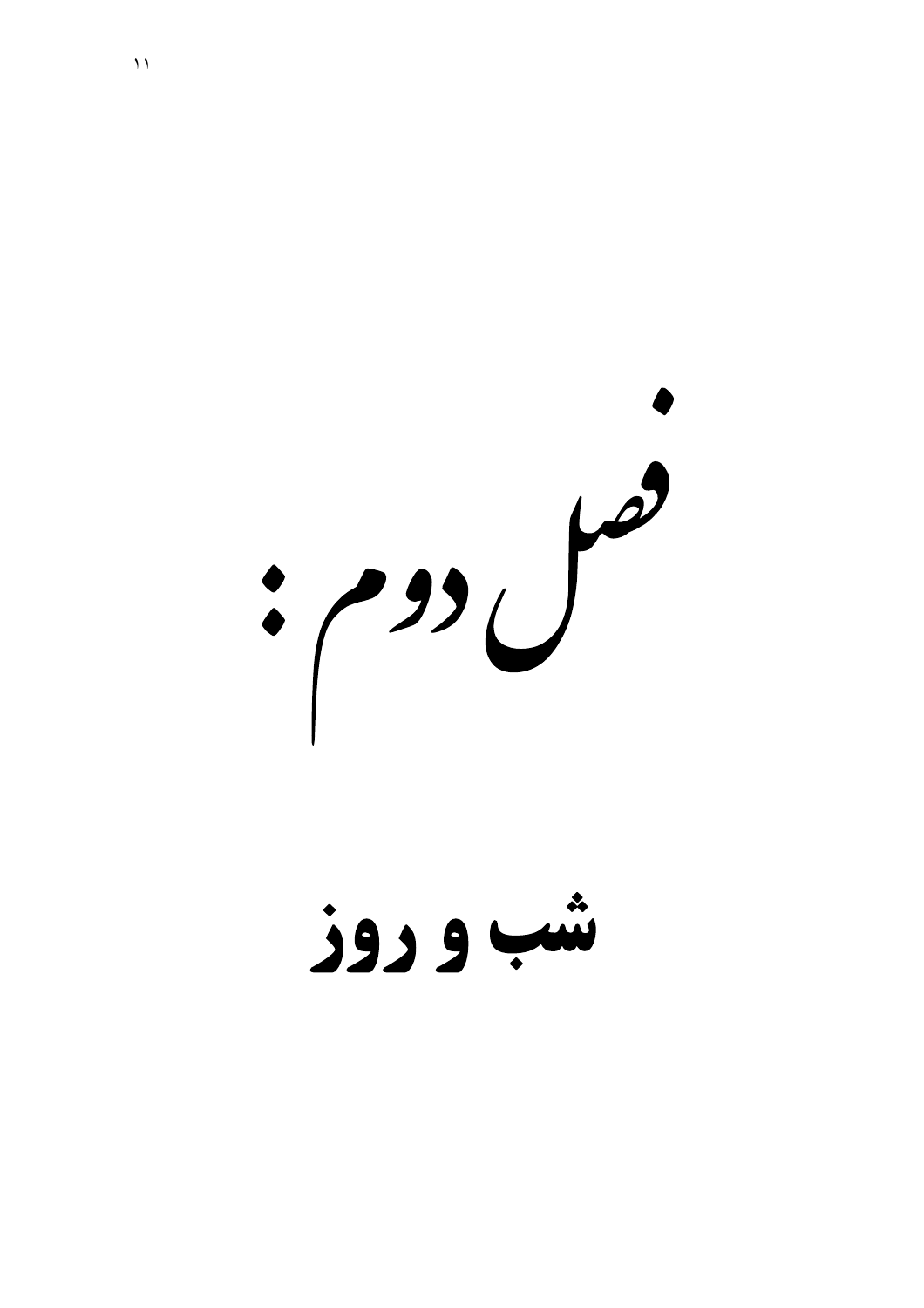$\frac{1}{2}$ 

شب و دوز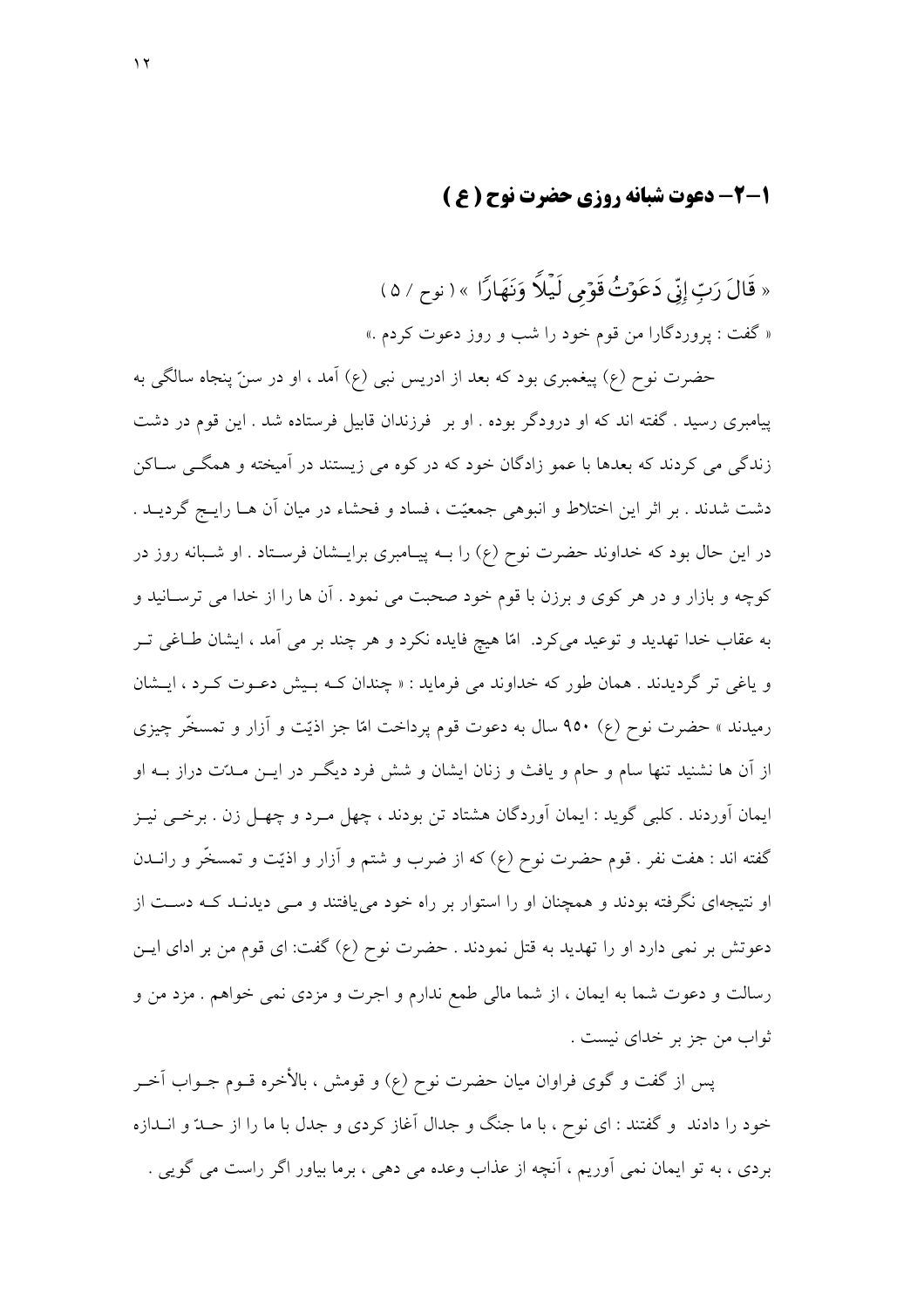### 1-2- دعوت شیانه , وزی حضرت نوح ( ع )

« قَالَ رَبِّ إِنِّي دَعَوۡتُ قَوۡمِي لَيۡلاً وَنَهَارًا » ( نوح / ۵ ) « گفت : يروردگارا من قوم خود را شب و روز دعوت كردم .»

حضرت نوح (ع) پیغمبری بود که بعد از ادریس نبی (ع) آمد ، او در سنّ پنجاه سالگی به پیامبری رسید . گفته اند که او درودگر بوده . او بر ً فرزندان قابیل فرستاده شد . این قوم در دشت زندگی می کردند که بعدها با عمو زادگان خود که در کوه می زیستند در آمیخته و همگــی ســاکن دشت شدند . بر اثر این اختلاط و انبوهی جمعیّت ، فساد و فحشاء در میان آن هـا رایـج گردیــد . در این حال بود که خداوند حضرت نوح (ع) را بــه پیــامبری برایــشان فرســتاد . او شــبانه روز در کوچه و بازار و در هر کوي و برزن با قوم خود صحبت مي نمود . آن ها را از خدا مي ترسـانيد و به عقاب خدا تهدید و توعید میکرد. امّا هیچ فایده نکرد و هر چند بر می آمد ، ایشان طـاغی تــر و یاغی تر گردیدند . همان طور که خداوند می فرماید : « چندان کـه بـیش دعـوت کـرد ، ایـشان رمیدند » حضرت نوح (ع) ۹۵۰ سال به دعوت قوم پرداخت امّا جز اذیّت و آزار و تمسخّر چیزی از آن ها نشنید تنها سام و حام و یافث و زنان ایشان و شش فرد دیگـر در ایــن مــدّت دراز بــه او ایمان آوردند . کلبی گوید : ایمان آوردگان هشتاد تن بودند ، چهل مـرد و چهـل زن . برخــی نیــز گفته اند : هفت نفر . قوم حضرت نوح (ع) که از ضرب و شتم و آزار و اذیّت و تمسخّر و رانــدن او نتیجهای نگرفته بودند و همچنان او را استوار بر راه خود می یافتند و مــی دیدنــد کــه دســت از دعوتش بر نمي دارد او را تهديد به قتل نمودند . حضرت نوح (ع) گفت: اي قوم من بر اداي ايـن رسالت و دعوت شما به ايمان ، از شما مالي طمع ندارم و اجرت و مزدي نمي خواهم . مزد من و ثواب من جز بر خدای نیست .

يس از گفت و گوي فراوان ميان حضرت نوح (ع) و قومش ، بالأخره قــوم جــواب آخــر خود را دادند ًو گفتند : ای نوح ، با ما جنگ و جدال آغاز کردی و جدل با ما را از حــدّ و انــدازه بردی ، به تو ایمان نمی آوریم ، آنچه از عذاب وعده می دهی ، برما بیاور اگر راست می گویی .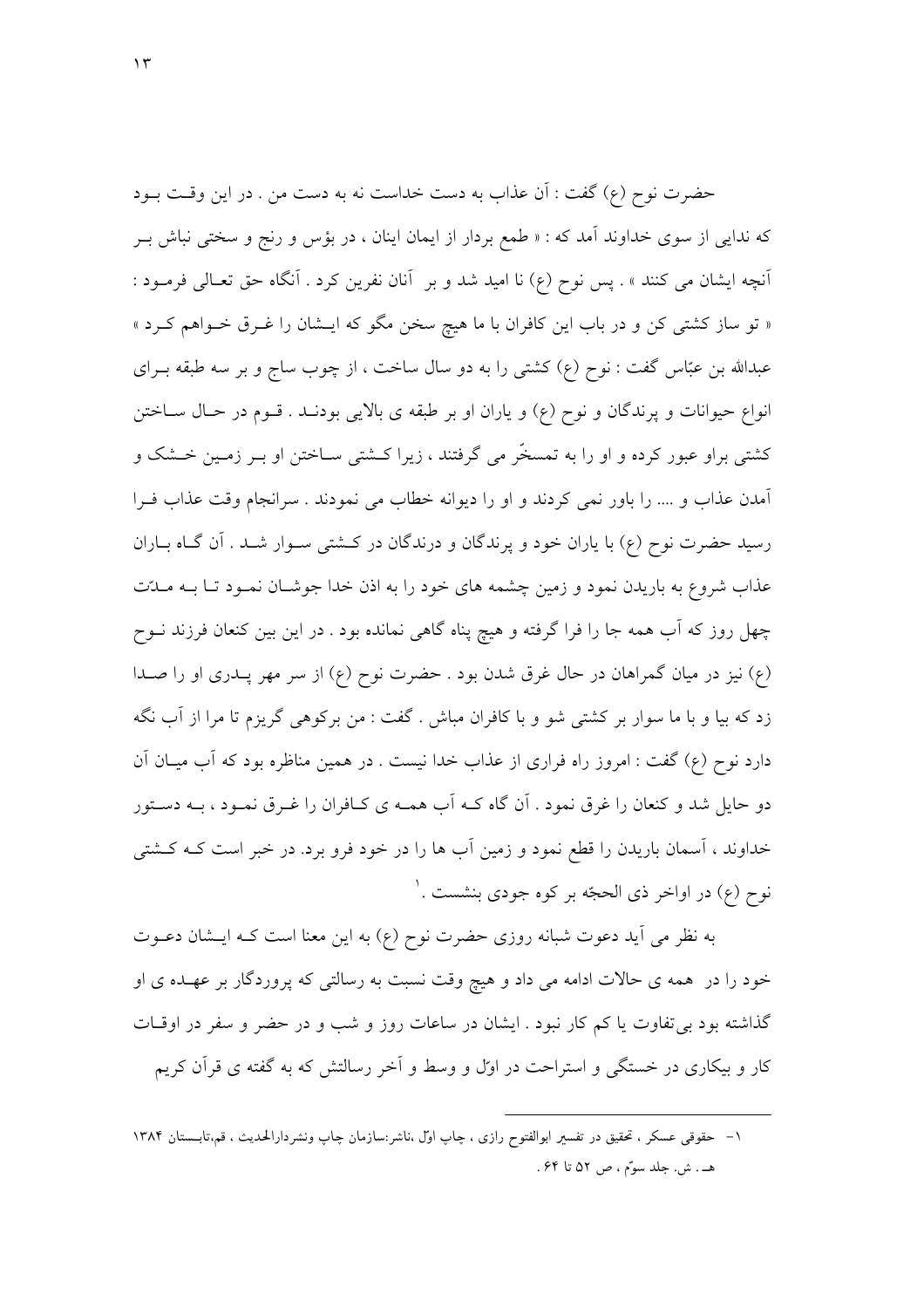حضرت نوح (ع) گفت : آن عذاب به دست خداست نه به دست من . در این وقت بــود که ندایی از سوی خداوند آمد که : « طمع بردار از ایمان اینان ، در بؤس و رنج و سختی نباش بــر آنچه ایشان می کنند » . پس نوح (ع) نا امید شد و بر آنان نفرین کرد . آنگاه حق تعـالی فرمـود : « تو ساز کشتی کن و در باب این کافران با ما هیچ سخن مگو که ایـشان را غـرق خـواهم کـرد » عبدالله بن عبّاس گفت : نوح (ع) کشتی را به دو سال ساخت ، از چوب ساج و بر سه طبقه بــرای انواع حیوانات و پرندگان و نوح (ع) و یاران او بر طبقه ی بالایی بودنـد . قـوم در حـال سـاختن کشتی براو عبور کرده و او را به تمسخّر می گرفتند ، زیرا کـشتی سـاختن او بــر زمــین خــشک و أمدن عذاب و …. را باور نمي كردند و او را ديوانه خطاب مي نمودند . سرانجام وقت عذاب فـرا رسید حضرت نوح (ع) با پاران خود و پرندگان و درندگان در کشتی سـوار شـد . آن گـاه بــاران عذاب شروع به باریدن نمود و زمین چشمه های خود را به اذن خدا جوشـان نمـود تـا بــه مــدّت چهل روز که آب همه جا را فرا گرفته و هیچ پناه گاهی نمانده بود . در این بین کنعان فرزند نــوح (ع) نیز در میان گمراهان در حال غرق شدن بود . حضرت نوح (ع) از سر مهر پـدری او را صـدا زد که بیا و با ما سوار بر کشتی شو و با کافران مباش . گفت : من برکوهی گریزم تا مرا از آب نگه دارد نوح (ع) گفت : امروز راه فراری از عذاب خدا نیست . در همین مناظره بود که آب میـان آن دو حایل شد و کنعان را غرق نمود . آن گاه کـه آب همـه ی کـافران را غـرق نمـود ، بـه دسـتور خداوند ، آسمان باریدن را قطع نمود و زمین آب ها را در خود فرو برد. در خبر است کـه کــشتی نوح (ع) در اواخر ذي الحجّه بر كوه جودي بنشست .'

به نظر می آید دعوت شبانه روزی حضرت نوح (ع) به این معنا است کـه ایـشان دعـوت خود را در همه ي حالات ادامه مي داد و هيچ وقت نسبت به رسالتي كه پروردگار بر عهـده ي او گذاشته بود بی تفاوت یا کم کار نبود . ایشان در ساعات روز و شب و در حضر و سفر در اوقـات کار و بیکاری در خستگی و استراحت در اوّل و وسط و آخر رسالتش که به گفته ی قرآن کریم

۱– حقوقی عسکر ، تحقیق در تفسیر ابوالفتوح رازی ، چاپ اوّل ،ناشر:سازمان چاپ ونشردارالحدیث ، قم،تابستان ۱۳۸۴ هـ. ش. جلد سوَّم ، ص ٥٢ تا ٤٤.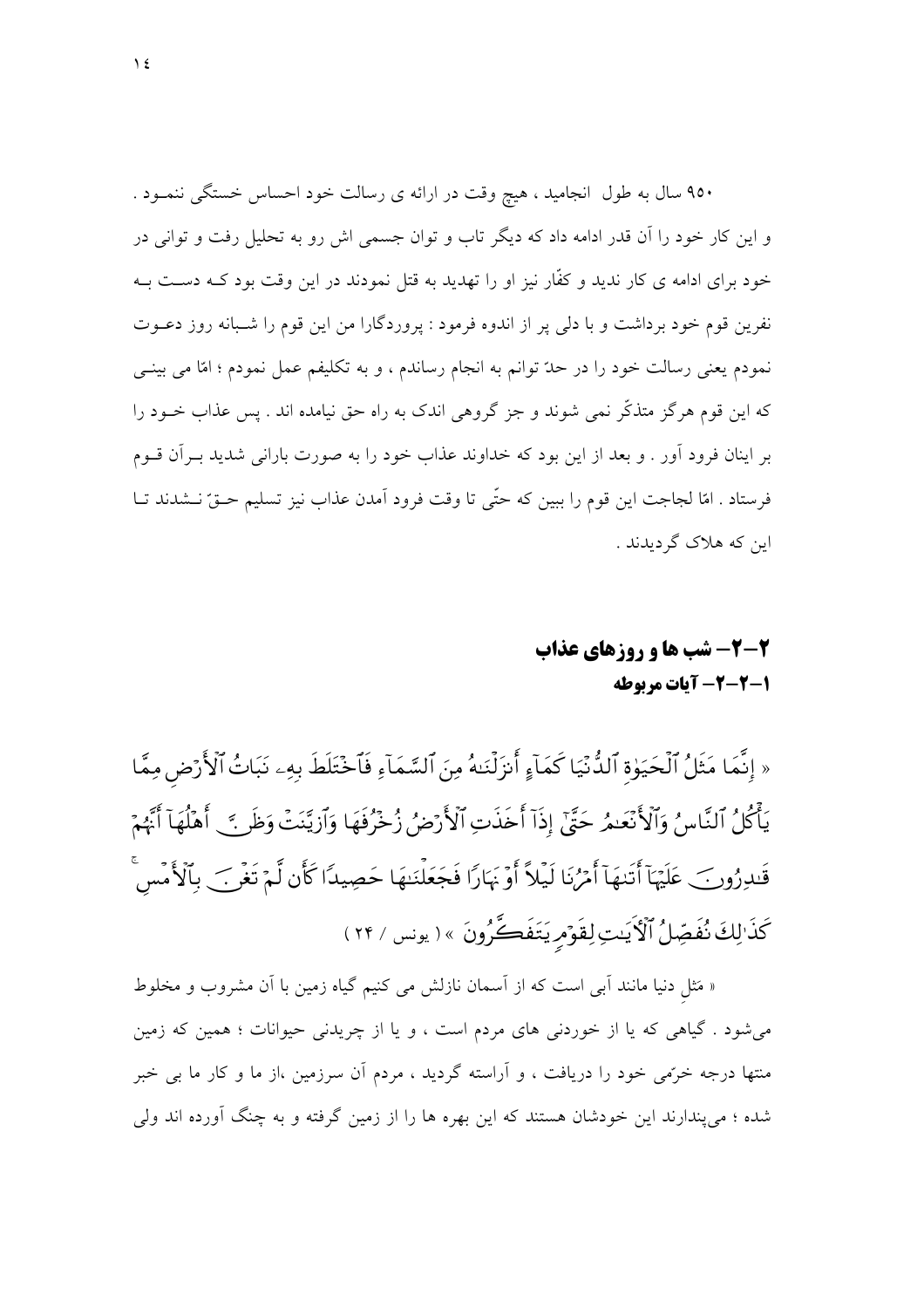۹۵۰ سال به طول انجامید ، هیچ وقت در ارائه ی رسالت خود احساس خستگی ننمــود . و این کار خود را آن قدر ادامه داد که دیگر تاب و توان جسمی اش رو به تحلیل رفت و توانی در خود برای ادامه ی کار ندید و کفّار نیز او را تهدید به قتل نمودند در این وقت بود کــه دســت بــه نفرین قوم خود برداشت و با دلمی پر از اندوه فرمود : پروردگارا من این قوم را شـبانه روز دعـوت نمودم يعني رسالت خود را در حدّ توانم به انجام رساندم ، و به تكليفم عمل نمودم ؛ امّا مي بينـي که این قوم هرگز متذکّر نمی شوند و جز گروهی اندک به راه حق نیامده اند . پس عذاب خــود را بر اینان فرود آور . و بعد از این بود که خداوند عذاب خود را به صورت بارانی شدید بـرآن قــوم فرستاد . امّا لجاجت اين قوم را ببين كه حتّى تا وقت فرود آمدن عذاب نيز تسليم حــقّ نــشدند تــا این که هلاک گردیدند .

## 2-2- شب ها و روزهای عذاب 1-2-2- آيات مربوطه

« إِنَّمَا مَثَلُ ٱلْحَيَوٰةِ ٱلدُّنْيَا كَمَآءٍ أَنزَلْنَـٰهُ مِنَ ٱلسَّمَآءِ فَٱخۡتَلَطَ بِهِۦ نَبَاتُ ٱلْأَرۡض مِمَّا يَأْكُلُ ٱلنَّاسِ ۚ وَٱلْأَنْعَدِ رَحَيٌّ ۚ إِذَآ أَحَذَتِ ٱلْأَرۡضُ زُخۡرُفَهَا وَٱزِيَّنَتۡ وَظَر ۚ ۚ أَهۡلُهَآ أَنَّهُمۡ قَلدِرُونَ\_ عَلَيْهَآ أَتَنهَآ أَمۡرُنَا لَيۡلاً أَوۡنَهَارَا فَجَعَلۡنَـٰهَا حَصِيدًا كَأَن لَّمۡ تَغۡر ۖ بِٱلۡأَمۡسَ كَذَالِكَ نُفَصِّلُ ٱلْكَيَسَ لِقَوْمِ يَتَفَكَّرُونَ » ( يونس / ٢۴ )

« مَثل دنیا مانند اَبی است که از اَسمان نازلش می کنیم گیاه زمین با اَن مشروب و مخلوط می شود . گیاهی که یا از خوردنی های مردم است ، و یا از چریدنی حیوانات ؛ همین که زمین منتها درجه خرَّمی خود را دریافت ، و آراسته گردید ، مردم آن سرزمین ،از ما و کار ما بی خبر شده ؛ می پندارند این خودشان هستند که این بهره ها را از زمین گرفته و به چنگ آورده اند ولی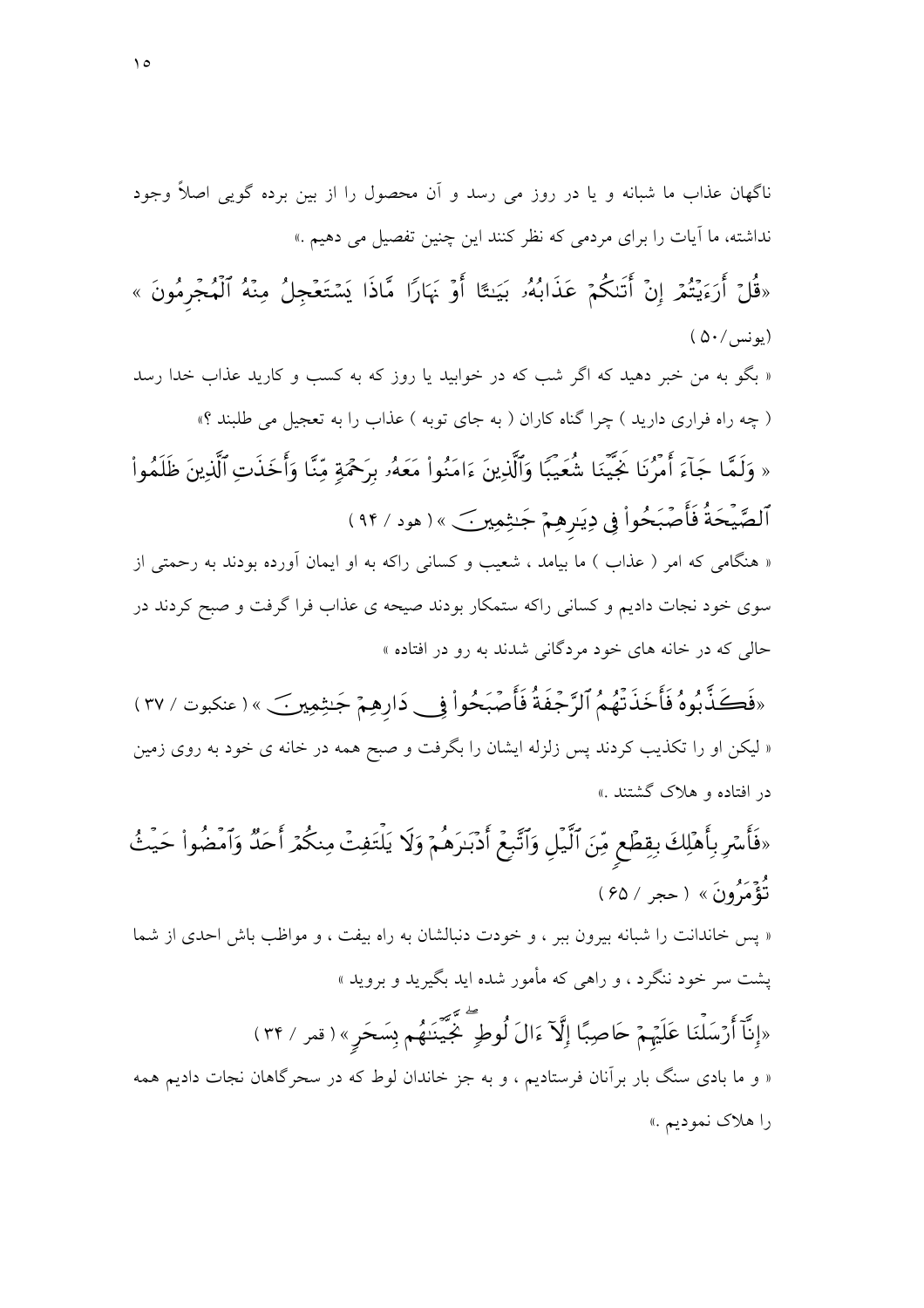«قُلْ أَرَءَيْتُمْ إِنْ أَتَنكُمْ عَذَابُهُۥ بَيَنتًا أَوْ بَهَارًا مَّاذَا يَسْتَعْجِلُ مِنْهُ ٱلْمُجْرمُونَ »  $( \Delta \cdot / )$ يونس

« بگو به من خبر دهید که اگر شب که در خوابید یا روز که به کسب و کارید عذاب خدا رسد ( چه راه فراری دارید ) چرا گناه کاران ( به جای توبه ) عذاب را به تعجیل می طلبند ؟»

« وَلَمَّا جَآءَ أَمْرُنَا خَيِّيَنَا شُعَيبًا وَٱلَّذِينَ ءَامَنُواْ مَعَهُۥ بِرَحْمَةٍ مِّنَّا وَأَخَذَتِ ٱلَّذِينَ ظَلَمُواْ ٱلصَّيْحَةُ فَأَصۡبَحُواْ فِي دِيَـرِهِمۡ جَـٰثِمِينَ ﴾( هود / ٩۴)

« هنگامی که امر ( عذاب ) ما بیامد ، شعیب و کسانی راکه به او ایمان آورده بودند به رحمتی از سوی خود نجات دادیم و کسانی راکه ستمکار بودند صیحه ی عذاب فرا گرفت و صبح کردند در حالی که در خانه های خود مردگانی شدند به رو در افتاده »

«فَكَذَّبُوهُ فَأَخَذَتْهُمُ ٱلرَّجْفَةُ فَأَصْبَحُواْ فِي دَارِهِمْ جَـٰثِمِينَ » ( عنكبوت / ٣٧ ) « لیکن او را تکذیب کردند پس زلزله ایشان را بگرفت و صبح همه در خانه ی خود به روی زمین در افتاده و هلاک گشتند .»

«فَأَسْرِ بِأَهْلِكَ بِقِطَعٍ مِّنَ ٱلَّيْلِ وَٱتَّبِعَ أَدْبَـٰرَهُمْ وَلَا يَلْتَفِتْ مِنكُمْ أَحَدٌ وَٱمْضُواْ حَيْثُ د<br>تَؤْمَيُّونَ » ( حجر / ۶۵ )

« پس خاندانت را شبانه بیرون ببر ، و خودت دنبالشان به راه بیفت ، و مواظب باش احدی از شما یشت سر خود ننگرد ، و راهی که مأمور شده اید بگیرید و بروید » «إِنَّآ أَرۡسَلۡنَا عَلَيۡهُمۡ حَاصِبًا إِلَّآ ءَالَ لُوطِ ۖ جٌّيَّنَنُهُم بِسَحَرِ » ( قمر / ٣۴ )

« و ما بادی سنگ بار برآنان فرستادیم ، و به جز خاندان لوط که در سحرگاهان نجات دادیم همه را هلاک نمودیم .»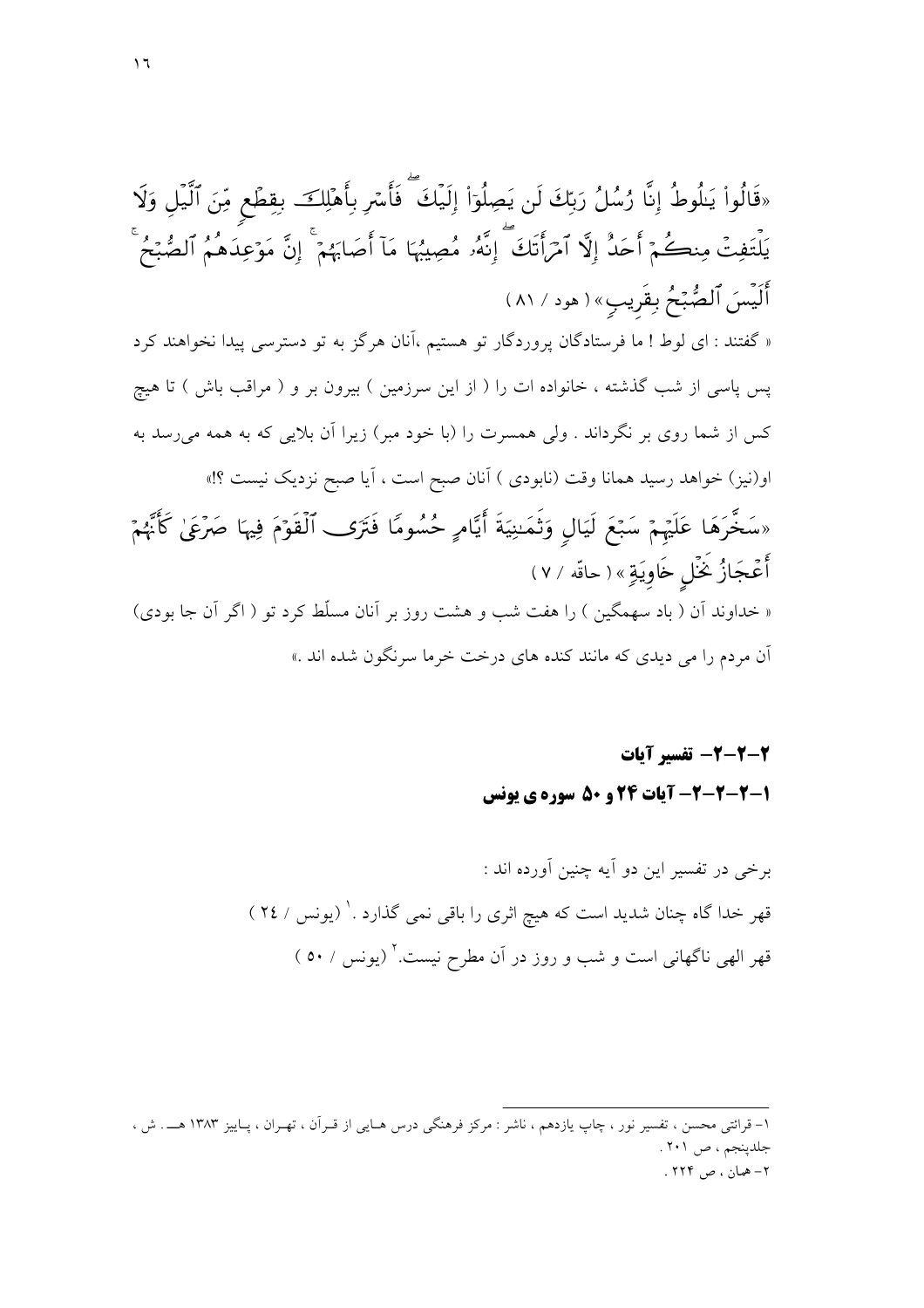«قَالُواْ يَلُوطُ إِنَّا رُسُلُ رَبِّكَ لَن يَصِلُوٓاْ إِلَيۡكَ ۖ فَأَسۡرِ بِأَهۡلِكَ ۚ بِقِطۡعٍ مِّنَ ٱلَّيۡلِ وَلَا يَلْتَفِتۡ مِنڪُمۡۚ أَحَدُّ إِلَّا ٱمۡرَأَتَكَ ۚ إِنَّهُۥ مُصِيبُهَا مَاۤ أَصَابَهُمۡۚ إِنَّ مَوۡعِلَدهُمُ ٱلصُّبۡحُ أَلَيْسَ ٱلصُّبِّحُ بِقَرِيبٍ» ( هود / ٨١ ) « گفتند : ای لوط ! ما فرستادگان پروردگار تو هستیم ،آنان هرگز به تو دسترسی پیدا نخواهند کرد پس پاسی از شب گذشته ، خانواده ات را ( از این سرزمین ) بیرون بر و ( مراقب باش ) تا هیچ کس از شما روی بر نگرداند . ولی همسرت را (با خود مبر) زیرا آن بلایی که به همه می رسد به او(نیز) خواهد رسید همانا وقت (نابودی ) آنان صبح است ، آیا صبح نزدیک نیست ؟!» «سَخَّرَهَا عَلَيْهِمْ سَبْعَ لَيَالِ وَتَمَنِيَةَ أَيَّامٍ حُسُومًا فَتَرَى ٱلْقَوۡمَ فِيهَا صَرۡعَىٰ كَأَنَّهُمۡ أَعْجَازُ غَمْلِ خَاوِيَةِ» ( حاقّه / ٧ ) « خداوند اّن ( باد سهمگین ) را هفت شب و هشت روز بر اّنان مسلّط کرد تو ( اگر اّن جا بودی) آن مردم را می دیدی که مانند کنده های درخت خرما سرنگون شده اند .»

> 2-2-2- تفسير آيات 1-2-2-2- آیات 24 و ۵۰ سوره ی بونس

۱– قرائتی محسن ، تفسیر نور ، چاپ یازدهم ، ناشر : مرکز فرهنگی درس هـایی از قـراَن ، تهـران ، پـاییز ۱۳۸۳ هـــ . ش ، جلدينجم، ص ٢٠١. ۲– همان ، ص ۲۲۴ .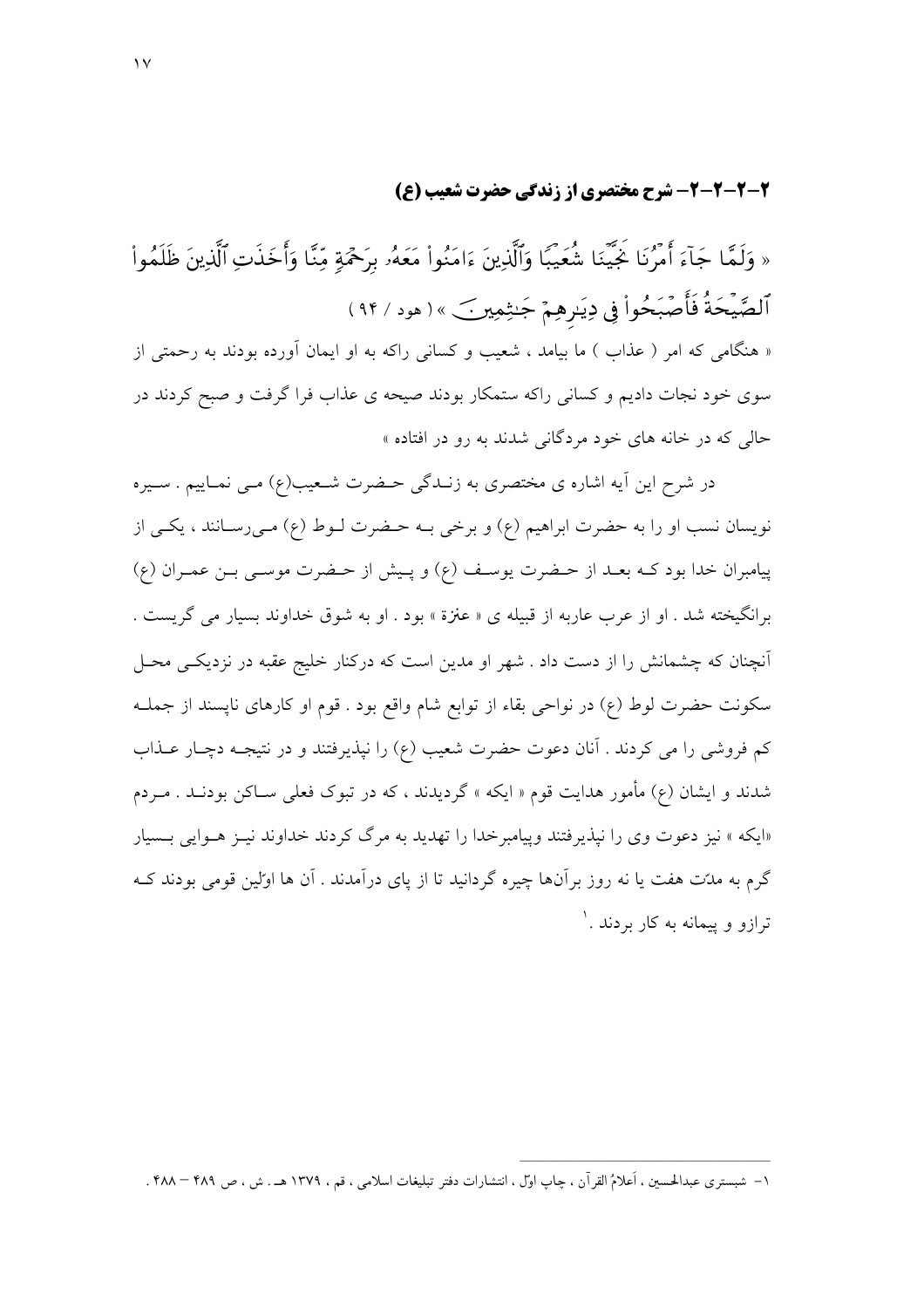#### 2-2-2-2- شرح مختصري از زندگي حضرت شعيب (ع)

« وَلَمَّا جَآءَ أَمْرُنَا جَيَّنَا شُعَيْبًا وَٱلَّذِينَ ءَامَنُواْ مَعَهُۥ بِرَحْمَةٍ مِّنَّا وَأَخَذَتِ ٱلَّذِينَ ظَلَمُواْ ٱلصَّيْحَةُ فَأَصَّبَحُواْ فِي دِيَـرِهِمْ جَـٰثِمِير ۖ ﴾( هود / ٩۴) « هنگامی که امر ( عذاب ) ما بیامد ، شعیب و کسانی راکه به او ایمان آورده بودند به رحمتی از سوی خود نجات دادیم و کسانی راکه ستمکار بودند صیحه ی عذاب فرا گرفت و صبح کردند در حال<sub>م،</sub> که در خانه های خود مردگان<sub>ی</sub> شدند به رو در افتاده »

در شرح این آیه اشاره ی مختصری به زنـدگی حـضرت شـعیب(ع) مـی نمـاییم . سـیره نويسان نسب او را به حضرت ابراهيم (ع) و برخي بــه حـضرت لــوط (ع) مــي(ســانند ، يكــي از پیامبران خدا بود کـه بعـد از حـضرت یوسـف (ع) و پـیش از حـضرت موسـی بـن عمـران (ع) برانگیخته شد . او از عرب عاربه از قبیله ی « عنزة » بود . او به شوق خداوند بسیار می گریست . آنچنان که چشمانش را از دست داد . شهر او مدین است که درکنار خلیج عقبه در نزدیکـی محـل سکونت حضرت لوط (ع) در نواحی بقاء از توابع شام واقع بود . قوم او کارهای ناپسند از جملـه کم فروشی را می کردند . آنان دعوت حضرت شعیب (ع) را نپذیرفتند و در نتیجـه دچـار عــذاب شدند و ایشان (ع) مأمور هدایت قوم « ایکه » گردیدند ، که در تبوک فعلی سـاکن بودنــد . مــردم «ایکه » نیز دعوت وی را نیذیرفتند وییامبرخدا را تهدید به مرگ کردند خداوند نیـز هـوایی بـسیار گرم به مدّت هفت یا نه روز برآنها چیره گردانید تا از پای درآمدند . آن ها اولین قومی بودند کـه ترازو و پیمانه به کار بردند . `

۱– شبستری عبدالحسین ، اَعلامُ القرآن ، چاپ اوّل ، انتشارات دفتر تبلیغات اسلامی ، قم ، ۱۳۷۹ هــ . ش ، ص ۴۸۹ – ۴۸۸ .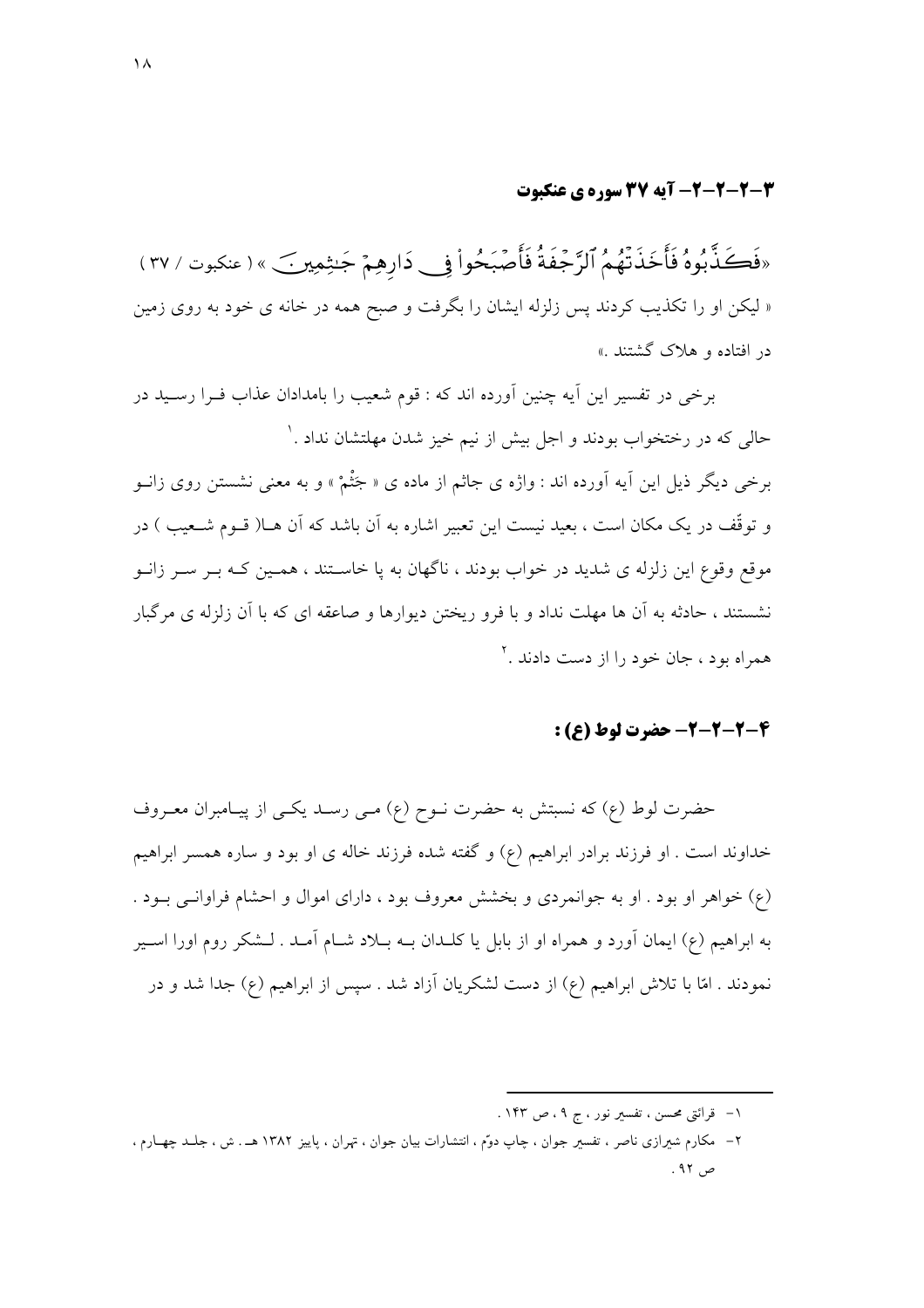#### 2-2-2-2- آیه 37 سوره ی عنکبوت

«فَكَذَّبُوهُ فَأَخَذَتْهُمُ ٱلرَّجْفَةُ فَأَصْبَحُواْ فِي دَارِهِمْ جَنِثِمِينِ ﴾ ( عنكبوت / ٣٧ ) « لیکن او را تکذیب کردند پس زلزله ایشان را بگرفت و صبح همه در خانه ی خود به روی زمین در افتاده و هلاک گشتند .»

برخی در تفسیر این آیه چنین آورده اند که : قوم شعیب را بامدادان عذاب فـرا رسـید در حالي كه در رختخواب بودند و اجل بيش از نيم خيز شدن مهلتشان نداد .' برخي ديگر ذيل اين آيه آورده اند : واژه ي جاثم از ماده ي « جَثْمْ » و به معنى نشستن روي زانــو و توقُّف در یک مکان است ، بعید نیست این تعبیر اشاره به آن باشد که آن هــا( قــوم شــعیب ) در موقع وقوع این زلزله ی شدید در خواب بودند ، ناگهان به یا خاسـتند ، همـین کـه بـر سـر زانـو نشستند ، حادثه به آن ها مهلت نداد و با فرو ریختن دیوارها و صاعقه ای که با آن زلزله ی مرگبار همراه بود ، جان خود را از دست دادند .<sup>۲</sup>

#### 4-2-2-2- حضرت لوط (ع) :

حضرت لوط (ع) كه نسبتش به حضرت نـوح (ع) مـى رسـد يكـى از پيـامبران معـروف خداوند است . او فرزند برادر ابراهیم (ع) و گفته شده فرزند خاله ی او بود و ساره همسر ابراهیم (ع) خواهر او بود . او به جوانمردي و بخشش معروف بود ، داراي اموال و احشام فراوانبي بـود . به ابراهیم (ع) ایمان آورد و همراه او از بابل یا کلــدان بــه بــلاد شــام آمــد . لــشکر روم اورا اســیر نمودند . امّا با تلاش ابراهیم (ع) از دست لشکریان آزاد شد . سپس از ابراهیم (ع) جدا شد و در

۱– قرائتی محسن ، تفسیر نور ، ج ۹ ، ص ۱۴۳ .

۲– مکارم شیرازی ناصر ، تفسیر جوان ، چاپ دوّم ، انتشارات بیان جوان ، تهران ، پاییز ۱۳۸۲ هـ . ش ، جلـد چهـارم ، ص ۹۲.